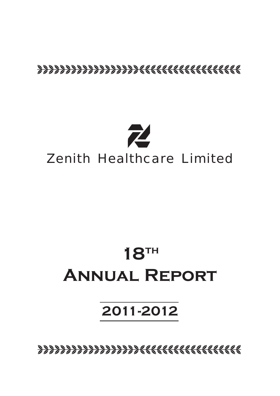# <u>8888888888888888888888888888888888</u>



# **18th Annual Report**

# **2011-2012**

bbbbbbbbbbbbbbbbbbcccccccccccccccccc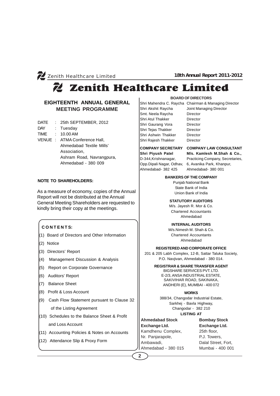# Zenith Healthcare Limited

# **EIGHTEENTH ANNUAL GENERAL MEETING PROGRAMME**

- DATE : 25th SEPTEMBER, 2012
- DAY : Tuesday
- TIME : 10.00 AM
- VENUE : ATMA Conference Hall, Ahmedabad Textile Mills' Association, Ashram Road, Navrangpura, Ahmedabad - 380 009

# **NOTE TO SHAREHOLDERS:**

As a measure of economy, copies of the Annual Report will not be distributed at the Annual General Meeting Shareholders are requested to kindly bring their copy at the meetings.

# **C O N T E N T S:**

- (1) Board of Directors and Other Information
- (2) Notice
- (3) Directors' Report
- (4) Management Discussion & Analysis
- (5) Report on Corporate Governance
- (6) Auditors' Report
- (7) Balance Sheet
- (8) Profit & Loss Account
- (9) Cash Flow Statement pursuant to Clause 32 of the Listing Agreement
- (10) Schedules to the Balance Sheet & Profit and Loss Account
- (11) Accounting Policies & Notes on Accounts
- (12) Attendance Slip & Proxy Form

**BOARD OF DIRECTORS**

Shri Mahendra C. Raycha Chairman & Managing Director Shri Akshit Raycha Joint Managing Director Smt. Neela Raycha Director Shri Atul Thakker Director Shri Gaurang Vora Director Shri Tejas Thakker Director Shri Ashwin Thakker Director Shri Rajesh Thakker Director

# **COMPANY SECRETARY COMPANY LAW CONSULTANT**

Ahmedabad- 382 425 Ahmedabad- 380 001

**Shri Piyush Patel M/s. Kamlesh M.Shah & Co.,** D-344,Krishnanagar, Practicing Company, Secretaries, Opp.Dipali Nagar, Odhav, 6, Avanika Park, Khanpur,

# **BANKERS OF THE COMPANY**

Punjab National Bank State Bank of India Union Bank of India

# **STATUTORY AUDITORS**

M/s. Jayesh R. Mor & Co. Chartered Accountants Ahmedabad

# **INTERNAL AUDITORS**

M/s.Nimesh M. Shah & Co. Chartered Accountants Ahmedabad

#### **REGISTERED AND CORPORATE OFFICE**

201 & 205 Labh Complex, 12-B, Sattar Taluka Society, P.O. Navjivan, Ahmedabad - 380 014.

# **REGISTRAR & SHARE TRANSFER AGENT**

BIGSHARE SERVICES PVT. LTD. E-2/3, ANSA INDUSTRIAL ESTATE, SAKIVIHAR ROAD, SAKINAKA, ANDHERI (E), MUMBAI - 400 072

# **WORKS**

388/34, Changodar Industrial Estate, Sarkhej - Bavla Highway, Changodar - 382 210 **LISTING AT**

**Ahmedabad Stock**

**Exchange Ltd.** Kamdhenu Complex, Nr. Panjarapole, Ambawadi, Ahmedabad - 380 015 **Bombay Stock Exchange Ltd.** 25th floor, P.J. Towers, Dalal Street, Fort, Mumbai - 400 001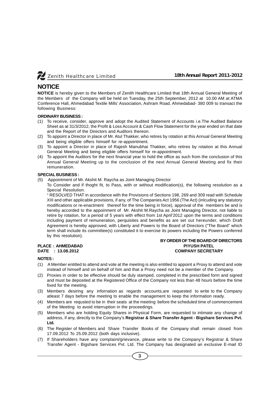

# **NOTICE**

**NOTICE** is hereby given to the Members of Zenith Healthcare Limited that 18th Annual General Meeting of the Members of the Company will be held on Tuesday, the 25th September, 2012 at 10.00 AM at ATMA Conference Hall, Ahmedabad Textile Mills' Association, Ashram Road, Ahmedabad- 380 009 to transact the following Business:

# **ORDINARY BUSINESS :**

- (1) To receive, consider, approve and adopt the Audited Statement of Accounts i.e.The Audited Balance Sheet as at 31/3/2012, the Profit & Loss Account & Cash Flow Statement for the year ended on that date and the Report of the Directors and Auditors thereon.
- (2) To appoint a Director in place of Mr. Atul Thakker, who retires by rotation at this Annual General Meeting and being eligible offers himself for re-appointment.
- (3) To appoint a Director in place of Rajesh Manubhai Thakker, who retires by rotation at this Annual General Meeting and being eligible offers himself for re-appointment.
- (4) To appoint the Auditors for the next financial year to hold the office as such from the conclusion of this Annual General Meeting up to the conclusion of the next Annual General Meeting and fix their remuneration.

### **SPECIAL BUSINESS :**

- (5) Appointment of Mr. Akshit M. Raycha as Joint Managing Director
	- To Consider and if thoght fit, to Pass, with or without modification(s), the following resolution as a Special Resolution.

" RESOLVED THAT in accordance with the Provisions of Sections 198, 269 and 309 read with Schedule XIII and other applicable provisions, if any, of The Companies Act 1956 (The Act) (inlcuding any statutory modifications or re-enactment thereof for the time being in force), approval of the members be and is hereby accorded to the appoinment of Mr. Akshit M.Raycha as Joint Managing Director, not liable to retire by rotation, for a period of 5 years with effect from 1st April'2012 upon the terms and conditions including payment of remuneration, perquisites and benefits as are set out hereunder, which Draft Agreement is hereby approved, with Liberty and Powers to the Board of Directors ("The Board" which term shall include its committee(s) constituted it to exercise its powers including the Powers conferred by this resolution).

### **BY ORDER OF THE BOARD OF DIRECTORS PLACE : AHMEDABAD PIYUSH PATEL DATE : 13.08.2012 COMPANY SECRETARY**

# **NOTES :**

- (1) A Member entitled to attend and vote at the meeting is also entitled to appoint a Proxy to attend and vote instead of himself and on behalf of him and that a Proxy need not be a member of the Company.
- (2) Proxies in order to be effective should be duly stamped, completed in the prescribed form and signed and must be deposited at the Registered Office of the Company not less than 48 hours before the time fixed for the meeting.
- (3) Members desiring any infornation as regards accounts,are requested to write to the Company atleast 7 days before the meeting to enable the management to keep the information ready.
- (4) Members are requsted to be in their seats at the meeting before the scheduled time of commencement of the Meeting to avoid interruption in the proceedings.
- (5) Members who are holding Equity Shares in Physical Form, are requested to intimate any change of address, if any, directly to the Company's **Registrar & Share Transfer Agent - Bigshare Services Pvt. Ltd.**
- (6) The Register of Members and Share Transfer Books of the Company shall remain closed from 17.09.2012 To 25.09.2012 (both days inclusive).
- (7) If Shareholders have any complaint/grievance, please write to the Company's Registrar & Share Transfer Agent - Bigshare Services Pvt. Ltd. The Company has designated an exclusive E-mail ID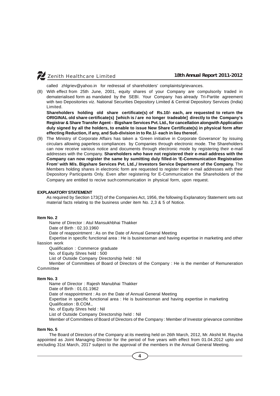called zhlgriev@yahoo.in for redressal of shareholders' complaints/grievances.

(8) With effect from 25th June, 2001, equity shares of your Company are compulsorily traded in dematerialised form as mandated by the SEBI. Your Company has already Tri-Partite agreement with two Depositories viz. National Securities Depository Limited & Central Depository Services (India) Limited.

**Shareholders holding old share certificate(s) of Rs.10/- each, are requested to return the ORIGINAL old share certificate(s) [which is / are no longer tradeable] directly to the Company's Registrar & Share Transfer Agent - Bigshare Services Pvt. Ltd., for cancellation alongwith Application duly signed by all the holders, to enable to issue New Share Certificate(s) in physical form after effecting Reduction, if any, and Sub-division in to Re.1/- each in lieu thereof.**

(9) The Ministry of Corporate Affairs has taken a 'Green initiative in Corporate Goverance' by issuing circulars allowing paperless compliances by Companies through electronic mode. The Shareholders can now receive various notice and documents through electronic mode by registering their e-mail addresses with the Company. **Shareholders who have not registered their e-mail address with the Company can now register the same by sumitting duly filled-in 'E-Communication Registration From' with M/s. Bigshare Services Pvt. Ltd.,/ Investors Service Department of the Company.** The Members holding shares in electronic form are requested to register their e-mail addresses with their Depository Participants Only. Even after registering for E-Communication the Shareholders of the Company are entitled to recive such communication in physical form, upon request.

#### **EXPLANATORY STATEMENT**

As required by Section 173(2) of the Companies Act, 1956, the following Explanatory Statement sets out material facts relating to the business under item No. 2,3 & 5 of Notice.

#### **Item No. 2**

Name of Director : Atul Mansukhbhai Thakker Date of Birth : 02.10.1960 Date of reappointment : As on the Date of Annual General Meeting Expertise in specific functional area : He is businessman and having expertise in marketing and other

#### liassion work

Qualification : Commerce graduate

No. of Equity Shres held : 500

List of Outside Company Directorship held : Nil

Member of Committees of Board of Directors of the Company : He is the member of Remuneration **Committee** 

#### **Item No. 3**

Name of Director : Rajesh Manubhai Thakker Date of Birth : 01.01.1962 Date of reappointment : As on the Date of Annual General Meeting Expertise in specific functional area : He is businessman and having expertise in marketing Qualification : B.COM., No. of Equity Shres held : Nil List of Outside Company Directorship held : Nil Member of Committees of Board of Directors of the Company : Member of Investor grievance committee

### **Item No. 5**

The Board of Directors of the Company at its meeting held on 26th March, 2012, Mr. Akshit M. Raycha appointed as Joint Managing Director for the period of five years with effect from 01.04.2012 upto and encluding 31st March, 2017 subject to the approval of the members in the Annual General Meeting.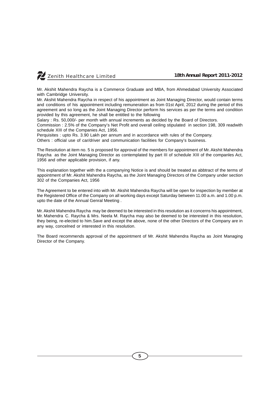

Mr. Akshit Mahendra Raycha is a Commerce Graduate and MBA, from Ahmedabad University Associated with Cambridge University.

Mr. Akshit Mahendra Raycha in respect of his appointment as Joint Managing Director, would contain terms and conditions of his appointment including remuneration as from 01st April, 2012 during the period of this agreement and so long as the Joint Managing Director perform his services as per the terms and condition provided by this agreement, he shall be entitled to the following

Salary : Rs. 50,000/- per month with annual increments as decided by the Board of Directors.

Commission : 2.5% of the Company's Net Profit and overall ceiling stipulated in section 198, 309 readwith schedule XIII of the Companies Act, 1956.

Perquisites : upto Rs. 3.90 Lakh per annum and in accordance with rules of the Company.

Others : official use of car/driver and communication facilities for Company's business.

The Resolution at item no. 5 is proposed for approval of the members for appointment of Mr. Akshit Mahendra Raycha as the Joint Managing Director as contemplated by part III of schedule XIII of the companles Act, 1956 and other applicable provision, if any.

This explanation together with the a companying Notice is and should be treated as abbtract of the terms of appointment of Mr. Akshit Mahendra Raycha, as the Joint Managing Directors of the Company under section 302 of the Companies Act, 1956

The Agreement to be entered into with Mr. Akshit Mahendra Raycha will be open for inspection by member at the Registered Office of the Company on all working days except Saturday between 11.00 a.m. and 1.00 p.m. upto the date of the Annual Genral Meeting .

Mr. Akshit Mahendra Raycha may be deemed to be interested in this resolution as it concerns his appointment, Mr. Mahendra C. Raycha & Mrs. Neela M. Raycha may also be deemed to be interested in this resolution, they being, re-elected to him.Save and except the above, none of the other Directors of the Company are in any way, concelned or interested in this resolution.

The Board recommends approval of the appointment of Mr. Akshit Mahendra Raycha as Joint Managing Director of the Company.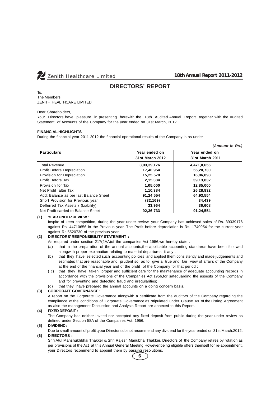

*(Amount in Rs.)*

# **DIRECTORS' REPORT**

To, The Members, ZENITH HEALTHCARE LIMITED

#### Dear Shareholders,

Your Directors have pleasure in presenting herewith the 18th Audited Annual Report together with the Audited Statement of Accounts of the Company for the year ended on 31st March, 2012.

#### **FINANCIAL HIGHLIGHTS**

During the financial year 2011-2012 the financial operational results of the Company is as under :

| <b>Particulars</b>                     | Year ended on   | Year ended on   |
|----------------------------------------|-----------------|-----------------|
|                                        | 31st March 2012 | 31st March 2011 |
| <b>Total Revenue</b>                   | 3,93,39,176     | 4,471,0,656     |
| Profit Before Depreciation             | 17,40,954       | 55,20,730       |
| Provision for Depreciation             | 15,25,570       | 16,06,898       |
| Profit Before Tax                      | 2,15,384        | 39,13,832       |
| Provision for Tax                      | 1.05.000        | 12.85.000       |
| Net Profit after Tax                   | 1,10,384        | 26,28,832       |
| Add: Balance as per last Balance Sheet | 91,24,554       | 64,93,554       |
| Short Provision for Previous year      | (32, 169)       | 34,439          |
| Defferred Tax Assets / (Liability)     | 33,964          | 36,608          |
| Net Profit carried to Balance Sheet    | 92,36,733       | 91,24,554       |

### **(1) YEAR UNDER REVIEW :**

Inspite of keen competition, during the year under review, your Company has achieved sales of Rs. 39339176 against Rs. 44710656 in the Previous year. The Profit before depreciation is Rs. 1740954 for the current year against Rs.5520730 of the previous year.

#### **(2) DIRECTORS' RESPONSIBILITY STATEMENT :**

As required under section 217(2AA)of the companies Act 1956,we hereby state :

- (a) that in the preparation of the annual accounts,the applicable accounting standards have been followed alongwith proper explanation relating to material departures, it any :
- (b) that they have selected such accounting policies and applied them consistently and made judgements and estimates that are reasonable and prudent so as to give a true and fair view of affairs of the Company at the end of the financial year and of the profit of the Company for that period :
- ( c) that they have taken proper and sufficient care for the maintenance of adequate accounting records in accordance with the provisions of the Companies Act,1956,for safeguarding the assests of the Company and for preventing and detecting fraud and irregularities;
- (d) that they have prepared the annual accounts on a going concern basis.

#### **(3) CORPORATE GOVERNANCE :**

A report on the Corporate Governance alongwith a certificate from the auditors of the Company regarding the compliance of the conditions of Corporate Governance as stipulated under Clause 49 of the Listing Agreement as also the management Discussion and Analysis Report are annexed to this Report.

#### **(4) FIXED DEPOSIT :**

The Company has neither invited nor accepted any fixed deposit from public during the year under review as defined under Section 58A of the Companies Act, 1956.

#### **(5) DIVIDEND :**

Due to small amount of profit ,your Directors do not recommend any dividend for the year ended on 31st March,2012. **(6) DIRECTORS :**

Shri Atul Manshukhbhai Thakker & Shri Rajesh Manubhai Thakker, Directors of the Company retires by rotation as per provisions of the Act at this Annual General Meeting. However, being eligible offers themself for re-appointment, your Directors recommend to appoint them by passing resolutions.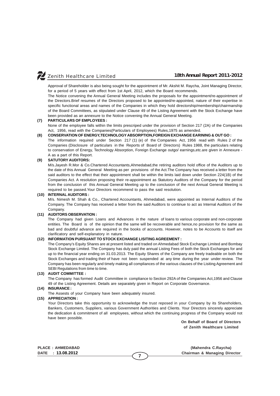Approval of Shareholder is also being sought for the appointment of Mr. Akshit M. Raycha, Joint Managing Director, for a period of 5 years with effect from 1st April, 2012, which the Board recommends.

The Notice convening the Annual General Meeting includes the proposals for the appointment/re-appointment of the Directors.Brief resumes of the Directors proposed to be appointed/re-appointed, nature of their expertise in specific functional areas and names of the Companies in which they hold directorship/membership/chairmanship of the Board Committees, as stipulated under Clause 49 of the Listing Agreement with the Stock Exchange have been provided as an annexure to the Notice convening the Annual General Meeting.

#### **(7) PARTICULARS OF EMPLOYEES :**

None of the employee falls within the limits prescriped under the provision of Section 217 (2A) of the Companies Act, 1956, read with the Companies(Particulars of Employees) Rules,1975 as amended.

#### **(8) CONSERVATION OF ENERGY,TECHNOLOGY ABSORPTION,FOREIGN EXCHANGE EARINING & OUT GO :**

The information required under Section 217 (1) (e) of the Companies Act, 1956 read with Rules 2 of the Companies (Disclosure of particulars in the Reports of Board of Directors) Rules 1988, the particulars relating to conservation of Energy, Technology Absorption, Foreign Exchange outgo/ earnings,etc.are given in Annexure - A as a part of this Report.

#### **(9) SATUTORY AUDITORS:**

M/s.Jayesh R.Mor & Co.Chartered Accountants,Ahmedabad,the retiring auditors hold office of the Auditors up to the date of this Annual General Meeting as per provisions of the Act.The Company has received a letter from the said auditors to the effect that their appointment shall be within the limits laid down under Section 224(1B) of the Companies Act. A resolution proposing their re-appointment as Statutory Auditors of the Company for the period from the conclusion of this Annual General Meeting up to the conclusion of the next Annual General Meeting is required to be passed.Your Directors recommend to pass the said resolution.

#### **(10) INTERNAL AUDITORS :**

M/s. Nimesh M. Shah & Co., Chartered Accountants, Ahmedabad, were appointed as Internal Auditors of the Company. The Company has received a letter from the said Auditors to continue to act as Internal Auditors of the Company.

# **(11) AUDITORS OBSERVATION :**

The Company had given Loans and Advances in the nature of loans to various corporate and non-corporate entities. The Board is of the opinion that the same will be recoverable and hence,no provision for the same as bad and doubtful advance are required in the books of accounts. However, notes to be Accounts to itself are clarificatory and self-explanatory in nature.

#### **(12) INFORMATION PURSUANT TO STOCK EXCHANGE LISITING AGREEMENT :**

The Company's Equity Shares are at present listed and traded on Ahmedabad Stock Exchange Limited and Bombay Stock Exchange Limited. The Company has duly paid the annual Listing Fees of both the Stock Exchanges for and up to the financial year ending on 31.03.2013. The Equity Shares of the Company are freely tradeable on both the Stock Exchanges and trading their of have not been suspended at any time during the year under review. The Company has been regularly and timely making all compliances of the various clauses of the Lisiting Agreement and SEBI Regulations from time to time.

#### **(13) AUDIT COMMITTEE :**

The Company has formed Audit Committee in compliance to Section 292A of the Companies Act,1956 and Clause 49 of the Listing Agreement. Details are separately given in Report on Corporate Governance.

#### **(14) INSURANCE :**

The Assests of your Company have been adequately insured.

#### **(15) APPRECIATION :**

Your Directors take this opportunity to acknowledge the trust reposed in your Company by its Shareholders, Bankers, Customers, Suppliers, various Government Authorities and Clients. Your Directors sincerely appreciate the dedication & commitment of all employees, without which the continuing progress of the Company would not have been possible.

**7**

**On Behalf of Board of Directors of Zenith Healthcare Limited**

**PLACE : AHMEDABAD (Mahendra C.Raycha) DATE : 13.08.2012 Chairman & Managing Director**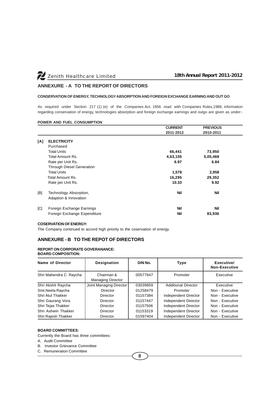# **ANNEXURE - A TO THE REPORT OF DIRECTORS**

#### **CONSERVATION OF ENERGY, TECHNOLOGY ABSORPTION AND FOREIGN EXCHANGE EARNING AND OUT GO**

As required under Section 217 (1) (e) of the Companies Act, 1956 read with Companies Rules,1988, information regarding conservation of energy, technologies absorption and foreign exchange earnings and outgo are given as under:-

### **POWER AND FUEL CONSUMPTION**

|     |                                  | <b>CURRENT</b> | <b>PREVIOUS</b> |  |
|-----|----------------------------------|----------------|-----------------|--|
|     |                                  | 2011-2012      | 2010-2011       |  |
| [A] | <b>ELECTRICITY</b>               |                |                 |  |
|     | Purchased                        |                |                 |  |
|     | <b>Total Units</b>               | 66,441         | 73,950          |  |
|     | Total Amount Rs.                 | 4,63,155       | 5,05,468        |  |
|     | Rate per Unit Rs.                | 6.97           | 6.84            |  |
|     | <b>Through Diesel Generation</b> |                |                 |  |
|     | <b>Total Units</b>               | 1,578          | 2,958           |  |
|     | Total Amount Rs.                 | 16,295         | 29,352          |  |
|     | Rate per Unit Rs.                | 10.33          | 9.92            |  |
| B   | Technology Absorption,           | <b>Nil</b>     | <b>Nil</b>      |  |
|     | Adaption & Innovation            |                |                 |  |
| [C] | Foreign Exchange Earnings        | Nil            | <b>Nil</b>      |  |
|     | Foreign Exchange Expenditure     | Nil            | 83,936          |  |

#### **COSERVATION OF ENERGY:**

The Company continued to accord high priority to the coservation of energy.

# **ANNEXURE - B TO THE REPOT OF DIRECTORS**

#### **REPORT ON CORPORATE GOVERANANCE: BOARD COMPOSITION:**

| Name of Director        | <b>Designation</b>                     | DIN No.  | <b>Type</b>                | Executive/<br><b>Non-Executive</b> |
|-------------------------|----------------------------------------|----------|----------------------------|------------------------------------|
| Shri Mahendra C. Raycha | Chairman &<br><b>Managing Director</b> | 00577647 | Promoter                   | Executive                          |
| Shri Akshit Raycha      | Joint Managing Director                | 03039859 | <b>Additional Director</b> | Executive                          |
| Smt.Neela Raycha        | Director                               | 01258479 | Promoter                   | Non - Executive                    |
| Shri Atul Thakker       | Director                               | 01157384 | Independent Director       | Non - Executive                    |
| Shri Gaurang Vora       | Director                               | 01157447 | Independent Director       | Non - Executive                    |
| Shri Tejas Thakker      | Director                               | 01157506 | Independent Director       | Non - Executive                    |
| Shri Ashwin Thakker     | Director                               | 01153319 | Independent Director       | Non - Executive                    |
| Shri Rajesh Thakker     | Director                               | 01597404 | Independent Director       | Non - Executive                    |

#### **BOARD COMMITTEES:**

Currently the Board has three committees:

A. Audit Committee

B. Investor Grievance Committee

C. Remuneration Committee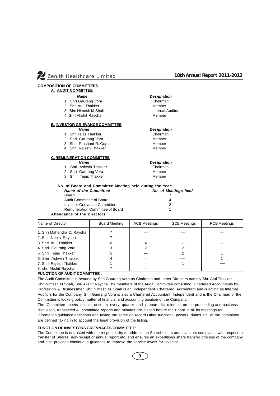

#### **COMPOSITION OF COMMITTEES A. AUDIT COMMITTEE**

# *Name Designation*

- 
- 1. Shri Gaurang Vora **Chairman**<br>2. Shri Atul Thakker Chairman Nember 2. Shri Atul Thakker
- 3. Shri Nimesh M.Shah Internal Auditor
- 4. Shri Akshit Raycha Member

#### **B. INVESTOR GRIEVANCE COMMITTEE**

- 1. Shri Tejas Thakker Chairman
- 2. Shri Gaurang Vora **Member**
- 
- 3. Shri Prashant R. Gupta Member<br>4. Shri Rajesh Thakker Member 4. Shri Rajesh Thakker

# **C. REMUNERATION COMMITTEE**

- 
- 1. Shri Ashwin Thakker Chairman
- 2. Shri Gaurang Vora **Member**
- 3. Shri Tejas Thakker Member
- 
- 

| No. of Board and Committee Meeting held during the Year: |                      |
|----------------------------------------------------------|----------------------|
| <b>Name of the Committee</b>                             | No. of Meetings held |
| Board                                                    |                      |
| Audit Committee of Board                                 |                      |
| Investor Grievance Committee                             |                      |
| Remuneration Committee of Board                          |                      |
|                                                          |                      |

# **Attendance of the Directors:**

| <b>Board Meeting</b> | <b>ACB Meetings</b>        | <b>IGCB Meetings</b> | <b>RCB Meetings</b> |
|----------------------|----------------------------|----------------------|---------------------|
|                      |                            |                      |                     |
|                      |                            |                      |                     |
|                      |                            |                      |                     |
|                      |                            |                      |                     |
|                      |                            |                      |                     |
|                      |                            |                      |                     |
|                      |                            |                      |                     |
|                      |                            |                      |                     |
|                      | 1. Shri Mahendra C. Raycha |                      |                     |

 *Name Designation*

 *Name Designation*

#### **FUNCTION OF AUDIT COMMITTEE :**

The Audit Committee is headed by Shri Gaurang Vora as Chairman and other Directors namely Shri Atul Thakker Shri Nimesh M.Shah, Shri Akshit Raycha.The members of the Audit Committee consisting Chartered Accountants by Profession & Businessmen.Shri Nimesh M. Shah is an independent Chartered Accountant and is acting as Internal Auditors for the Company. Shri Gaurang Vora is also a Chartered Accountant, Independent and is the Chairman of the Committee is looking policy matter of financial and accounting position of the Company.

The Committee meets atleast once in every quarter and prepare its minutes on the proceeding and business discussed, transacted.All committee reports and minutes are placed before the Board in all its meetings for information,guidance,directions and taking the same on record.Other functional powers, duties etc. of the committee are defined taking in to account the legal provision of the listing.

#### **FUNCTION OF INVESTORS GRIEVNACES COMMITTEE:**

The Committee is entrusted with the responsibility to address the Shareholders and investors complaints with respect to transfer of Shares, non-receipt of annual report etc. and ensures an expeditious share transfer process of the company and also provides continuous guidance to improve the service levels for investor.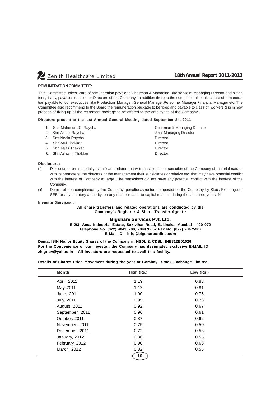

#### **REMUNERATION COMMITTEE:**

This Committee takes care of remuneration payble to Chairman & Managing Director,Joint Managing Director and sitting fees, if any, payables to all other Directors of the Company. In addition there to the committee also takes care of remuneration payable to top executives like Production Manager, General Manager,Personnel Manager,Financial Manager etc. The Committee also recommend to the Board the remuneration package to be fixed and payable to class of workers & is in now precess of fixing up of the retirement package to be offered to the employees of the Company .

#### **Directors present at the last Annual General Meeting dated September 24, 2011**

|  | 1. Shri Mahendra C. Raycha | Chairman & Managing Director |
|--|----------------------------|------------------------------|
|  | 2. Shri Akshit Raycha      | Joint Managing Director      |
|  | 3. Smt. Neela Raycha       | Director                     |
|  | 4. Shri Atul Thakker       | Director                     |
|  | 5. Shri Tejas Thakker      | Director                     |
|  | 6. Shri Ashwin Thakker     | Director                     |

#### **Disclosure:**

- (I) Disclosures on materially significant related party tranasctions i.e.transction of the Company of material nature, with its promoters, the directors or the management their subsidiaries or relative etc. that may have potential conflict with the interest of Company at large. The transctions did not have any potential conflict with the interest of the Company.
- (ii) Details of non-compliance by the Company, penalties,structures imposed on the Company by Stock Exchange or SEBI or any statutory authority, on any matter related to capital markets, during the last three years: Nil

#### **Investor Services :**

#### **All share transfers and related operations are conducted by the Company's Registrar & Share Transfer Agent :**

## **Bigshare Services Pvt. Ltd.**

**E-2/3, Ansa Industrial Estate, Sakivihar Road, Sakinaka, Mumbai - 400 072 Telephone No. (022) 40430200, 284470652 Fax No. (022) 28475207 E-Mail ID - info@bigshareonline.com**

**Demat ISIN No.for Equity Shares of the Company in NSDL & CDSL: INE812B01026 For the Convenience of our investor, the Company has designated exclusive E-MAIL ID zhlgriev@yahoo.in All investors are requested to avail this facility.**

**Details of Shares Price movement during the year at Bombay Stock Exchange Limited.**

| <b>Month</b>      | High (Rs.) | Low (Rs.) |  |
|-------------------|------------|-----------|--|
| April, 2011       | 1.19       | 0.83      |  |
| May, 2011         | 1.12       | 0.81      |  |
| June, 2011        | 1.00       | 0.76      |  |
| <b>July, 2011</b> | 0.95       | 0.76      |  |
| August, 2011      | 0.92       | 0.67      |  |
| September, 2011   | 0.96       | 0.61      |  |
| October, 2011     | 0.87       | 0.62      |  |
| November, 2011    | 0.75       | 0.50      |  |
| December, 2011    | 0.72       | 0.53      |  |
| January, 2012     | 0.86       | 0.55      |  |
| February, 2012    | 0.90       | 0.66      |  |
| March, 2012       | 0.82       | 0.55      |  |
|                   | 10         |           |  |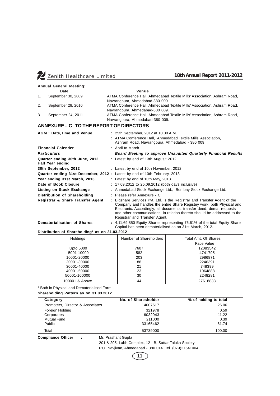

|    | <b>Annual General Meeting:</b>                     |   |                                                                                                                                                         |
|----|----------------------------------------------------|---|---------------------------------------------------------------------------------------------------------------------------------------------------------|
|    | Date                                               |   | Venue                                                                                                                                                   |
| 1. | September 30, 2009                                 | ÷ | ATMA Conference Hall, Ahmedabad Textile Mills' Association, Ashram Road,<br>Navrangpura, Ahmedabad-380 009.                                             |
| 2. | September 28, 2010                                 | ÷ | ATMA Conference Hall, Ahmedabad Textile Mills' Association, Ashram Road,<br>Navrangpura, Ahmedabad-380 009.                                             |
| 3. | September 24, 2011                                 | ÷ | ATMA Conference Hall, Ahmedabad Textile Mills' Association, Ashram Road,<br>Navrangpura, Ahmedabad-380 009.                                             |
|    | ANNEXURE - C TO THE REPORT OF DIRECTORS            |   |                                                                                                                                                         |
|    | <b>AGM: Date, Time and Venue</b>                   |   | : 25th September, 2012 at 10.00 A.M.<br>: ATMA Conference Hall, Ahmedabad Textile Mills' Association,<br>Ashram Road, Navrangpura, Ahmedabad - 380 009. |
|    | <b>Financial Calender</b>                          |   | : April to March                                                                                                                                        |
|    | <b>Particulars</b>                                 |   | <b>Board Meeting to approve Unaudited Quarterly Financial Results</b>                                                                                   |
|    | Quarter ending 30th June, 2012<br>Half Year ending |   | : Latest by end of 13th Augus, t 2012                                                                                                                   |
|    | 30th September, 2012                               |   | : Latest by end of 10th November, 2012                                                                                                                  |
|    |                                                    |   | Quarter ending 31st December, 2012: Latest by end of 10th February, 2013                                                                                |
|    | Year ending 31st March, 2013                       |   | : Latest by end of 10th May, 2013                                                                                                                       |
|    | Date of Book Closure                               |   | : 17.09.2012 to 25.09.2012 (both days inclusive)                                                                                                        |
|    | Listing on Stock Exchange                          |   | : Ahmedabad Stock Exchange Ltd., Bombay Stock Exchange Ltd.                                                                                             |
|    | Distribution of Shareholding                       |   | : Please refer Annexure - C                                                                                                                             |
|    | Registrar & Share Transfer Agent                   |   | : Bigshare Services Pvt. Ltd. is the Registrar and Transfer Agent of the                                                                                |

Registrar and Transfer Agent. **Dematerialisation of Shares :** 4,11,69,850 Equity Shares representing 76.61% of the total Equity Share Capital has been dematerialised as on 31st March, 2012.

Company and handles the entire Share Registey work, both Physical and Electronic. Accordingly, all documents, transfer deed, demat requests and other communications in relation thereto should be addressed to the

### **Distribution of Shareholding\* as on 31.03.2012**

| Holdings       | Number of Shareholders | Total Amt. Of Shares<br>Face Value |
|----------------|------------------------|------------------------------------|
| Upto 5000      | 7607                   | 12083542                           |
| 5001-10000     | 582                    | 4741795                            |
| 10001-20000    | 203                    | 2986871                            |
| 20001-30000    | 88                     | 2246391                            |
| 30001-40000    | 21                     | 748399                             |
| 40001-50000    | 23                     | 1064888                            |
| 50001-100000   | 30                     | 2248281                            |
| 100001 & Above | 44                     | 27618833                           |

\* Both in Physical and Dematerialised Form.

**Shareholding Pattern as on 31.03.2012**

| Category                         | No. of Sharesholder | % of holding to total |  |
|----------------------------------|---------------------|-----------------------|--|
| Promoters, Director & Associates | 14007617            | 26.06                 |  |
| Foreign Holding                  | 321978              | 0.59                  |  |
| Corporates                       | 6032943             | 11.22                 |  |
| Mutual Fund                      | 211000              | 0.39                  |  |
| <b>Public</b>                    | 33165462            | 61.74                 |  |
| Total                            | 53739000            | 100.00                |  |

**Compliance Officer : Mr. Prashant Gupta** 

201 & 205, Labh Complex, 12 - B, Sattar Taluka Society,

P.O. Navjivan, Ahmedabad - 380 014. Tel. (079)27541004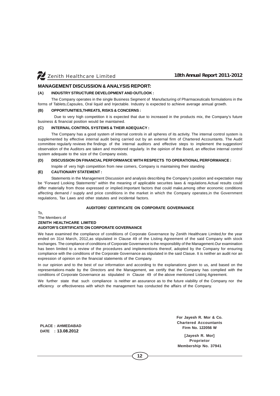# **MANAGEMENT DISCUSSION & ANALYSIS REPORT:**

#### **(A) INDUSTRY STRUCTURE DEVELOPMENT AND OUTLOOK :**

The Company operates in the single Business Segment of Manufacturing of Pharmaceuticals formulations in the forms of Tablets,Capsules, Oral liquid and Injectable. Industry is expected to achieve average annual growth.

#### **(B) OPPORTUNITIES,THREATS, RISKS & CONCERNS :**

 Due to very high competition it is expected that due to increased in the products mix, the Company's future business & financial position would be maintained.

#### **(C) INTERNAL CONTROL SYSTEMS & THEIR ADEQUACY :**

The Company has a good system of internal controls in all spheres of its activity. The internal control system is supplemented by effective internal audit being carried out by an external firm of Chartered Accountants. The Audit committee regularly reviews the findings of the internal auditors and effective steps to implement the suggestion/ observation of the Auditors are taken and monitored regularly. In the opinion of the Board, an effective internal control system adequate to the size of the Company exists.

#### **(D) DISCUSSION ON FINANCIAL PERFORMANCE WITH RESPECTS TO OPERATIONAL PERFORMANCE :**

Inspite of very high competition from new comers, Company is maintaining their standing

### **(E) CAUTIONARY STATEMENT :**

Statements in the Management Discussion and analysis describing the Company's position and expectation may be "Forward Looking Statements" within the meaning of applicable securites laws & regulations.Actual results could differ materially from those expressed or implied.Important factors that could make,among other economic conditions affecting demand / supply and price conditions in the market in which the Company operates,in the Government regulations, Tax Laws and other statutes and incidental factors.

## **AUDITORS' CERTIFICATE ON CORPORATE GOVERNANCE**

#### To, The Members of **ZENITH HEALTHCARE LIMITED AUDITOR'S CERTIFICATE ON CORPORATE GOVERNANCE**

We have examined the compliance of conditions of Corporate Governance by Zenith Healthcare Limited,for the year ended on 31st March, 2012,as stipulated in Clause 49 of the Listing Agreement of the said Company with stock exchanges. The compliance of conditions of Corporate Governance is the responsiblity of the Management.Our examination has been limited to a review of the procedures and implementions thereof, adopted by the Company for ensuring compliance with the conditions of the Corporate Governance as stipulated in the said Clasue. It is neither an audit nor an expression of opinion on the financial statements of the Company.

In our opinion and to the best of our information and according to the explanations given to us, and based on the representations made by the Directors and the Management, we certify that the Company has complied with the conditions of Corporate Governance as stipulated in Clause 49 of the above mentioned Listing Agreement.

We further state that such compliance is neither an assurance as to the future viability of the Company nor the efficiency or effectiveness with which the management has conducted the affairs of the Company.

**PLACE : AHMEDABAD DATE : 13.08.2012**

**For Jayesh R. Mor & Co. Chartered Accountants Firm No. 122056 W**

**[Jayesh R. Mor] Proprietor Membership No. 37941**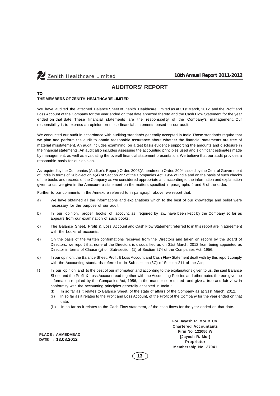

**TO**

# **AUDITORS' REPORT**

# **THE MEMBERS OF ZENITH HEALTHCARE LIMITED**

We have audited the attached Balance Sheet of Zenith Healthcare Limited as at 31st March, 2012 and the Profit and Loss Account of the Company for the year ended on that date annexed thereto and the Cash Flow Statement for the year ended on that date. These financial statements are the responsibility of the Company's management. Our responsibility is to express an opinion on these financial statements based on our audit.

We conducted our audit in accordance with auditing standards generally accepted in India.Those standards require that we plan and perform the audit to obtain reasonable assurance about whether the financial statements are free of material misstatement. An audit includes examining, on a test basis evidence supporting the amounts and disclosure in the financial statements. An audit also includes assessing the accounting principles used and significant estimates made by management, as well as evaluating the overall financial statement presentation. We believe that our audit provides a reasonable basis for our opinion.

As required by the Companies (Auditor's Report) Order, 2003(Amendment) Order, 2004 issued by the Central Government of India in terms of Sub-Section 4(A) of Section 227 of the Companies Act, 1956 of India and on the basis of such checks of the books and records of the Company as we considered appropriate and according to the information and explanation given to us, we give in the Annexure a statement on the matters spacified in paragraphs 4 and 5 of the order.

Further to our comments in the Annexure referred to in paragraph above, we report that;

- a) We have obtained all the informations and explanations which to the best of our knowledge and belief were necessary for the purpose of our audit;
- b) In our opinion, proper books of account, as required by law, have been kept by the Company so far as appears from our examination of such books;
- c) The Balance Sheet, Profit & Loss Account and Cash Flow Statement referred to in this report are in agreement with the books of accounts;
- e) On the basis of the written confirmations received from the Directors and taken on record by the Board of Directors, we report that none of the Directors is disqualified as on 31st March, 2012 from being appointed as Director in terms of Clause (g) of Sub-section (1) of Section 274 of the Companies Act, 1956.
- d) In our opinion, the Balance Sheet, Profit & Loss Account and Cash Flow Statement dealt with by this report comply with the Accounting standards referred to in Sub-section (3C) of Section 211 of the Act;
- f) In our opinion and to the best of our information and according to the explanations given to us, the said Balance Sheet and the Profit & Loss Account read together with the Accounting Policies and other notes thereon give the information required by the Companies Act, 1956, in the manner so required and give a true and fair view in conformity with the accounting principles generally accepted in India :
	- (I) In so far as it relates to Balance Sheet, of the state of affairs of the Company as at 31st March, 2012.
	- (ii) In so far as it relates to the Profit and Loss Account, of the Profit of the Company for the year ended on that date.
	- (iii) In so far as it relates to the Cash Flow statement, of the cash flows for the year ended on that date.

**PLACE : AHMEDABAD DATE : 13.08.2012**

**For Jayesh R. Mor & Co. Chartered Accountants Firm No. 122056 W [Jayesh R. Mor] Proprietor Membership No. 37941**

**13**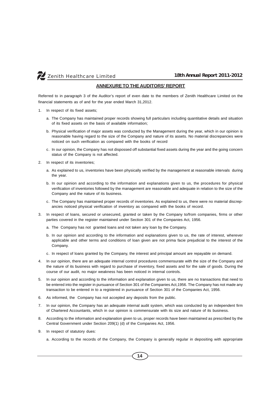

# **ANNEXURE TO THE AUDITORS' REPORT**

Referred to in paragraph 3 of the Auditor's report of even date to the members of Zenith Healthcare Limited on the financial statements as of and for the year ended March 31,2012.

- 1. In respect of its fixed assets;
	- a. The Company has maintained proper records showing full particulars including quantitative details and situation of its fixed assets on the basis of available information;
	- b. Physical verification of major assets was conducted by the Management during the year, which in our opinion is reasonable having regard to the size of the Company and nature of its assets. No material discrepancies were noticed on such verification as compared with the books of record
	- c. In our opinion, the Company has not dispossed off substantial fixed assets during the year and the going concern status of the Company is not affected.
- 2. In respect of its inventories;
	- a. As explained to us, inventories have been physically verified by the management at reasonable intervals during the year.
	- b. In our opinion and according to the information and explanations given to us, the procedures for physical verification of inventories followed by the management are reasonable and adequate in relation to the size of the Company and the nature of its business.
	- c. The Company has maintained proper records of inventories. As explained to us, there were no material discrepancies noticed physical verification of inventory as compared with the books of record.
- 3. In respect of loans, secured or unsecured, granted or taken by the Company to/from companies, firms or other parties covered in the register maintained under Section 301 of the Companies Act, 1956.
	- a. The Company has not granted loans and not taken any loan by the Company.
	- b. In our opinion and according to the information and explanations given to us, the rate of interest, wherever applicable and other terms and conditions of loan given are not prima facie prejudicial to the interest of the Company.
	- c. In respect of loans granted by the Company, the interest and principal amount are repayable on demand.
- 4. In our opinion, there are an adequate internal control procedures commensurate with the size of the Company and the nature of its business with regard to purchase of inventory, fixed assets and for the sale of goods. During the course of our audit, no major weakness has been noticed in internal controls.
- 5. In our opinion and according to the information and explanation given to us, there are no transactions that need to be entered into the register in pursuance of Section 301 of the Companies Act,1956. The Company has not made any transaction to be entered in to a registered in pursuance of Section 301 of the Companies Act, 1956.
- 6. As informed, the Company has not accepted any deposits from the public.
- 7. In our opinion, the Company has an adequate internal audit system, which was conducted by an independent firm of Chartered Accountants, which in our opinion is commensurate with its size and nature of its business.
- 8. According to the information and explanation given to us, proper records have been maintained as prescribed by the Central Government under Section 209(1) (d) of the Companies Act, 1956.
- 9. In respect of statutory dues:
	- a. According to the records of the Company, the Company is generally regular in depositing with appropriate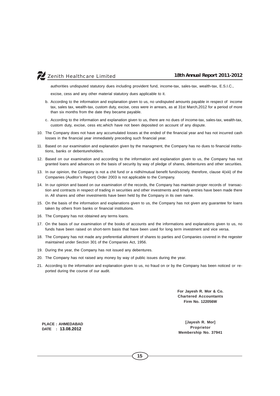

authorities undisputed statutory dues including provident fund, income-tax, sales-tax, wealth-tax, E.S.I.C.,

excise, cess and any other material statutory dues applicable to it.

- b. According to the information and explanation given to us, no undisputed amounts payable in respect of income tax, sales tax, wealth-tax, custom duty, excise, cess were in arrears, as at 31st March,2012 for a period of more than six months from the date they became payable.
- c. According to the information and explanation given to us, there are no dues of income-tax, sales-tax, wealth-tax, custom duty, excise, cess etc.which have not been deposited on account of any dispute.
- 10. The Company does not have any accumulated losses at the ended of the financial year and has not incurred cash losses in the financial year immediately preceding such financial year.
- 11. Based on our examination and explanation given by the managment, the Company has no dues to financial institutions, banks or debentureholders.
- 12. Based on our examination and according to the information and explanation given to us, the Company has not granted loans and advances on the basis of security by way of pledge of shares, debentures and other securities.
- 13. In our opinion, the Company is not a chit fund or a nidhi/mutual benefit fund/society, therefore, clause 4(xiii) of the Companies (Auditor's Report) Order 2003 is not applicable to the Company.
- 14. In our opinion and based on our examination of the records, the Company has maintain proper records of transaction and contracts in respect of trading in securities and other investments and timely entries have been made there in. All shares and other investments have been held by the Company in its own name.
- 15. On the basis of the information and explanations given to us, the Company has not given any guarantee for loans taken by others from banks or financial institutions.
- 16. The Company has not obtained any terms loans.
- 17. On the basis of our examination of the books of accounts and the informations and explanations given to us, no funds have been raised on short-term basis that have been used for long term investment and vice versa.
- 18. The Company has not made any preferential allotment of shares to parties and Companies covered in the regester maintained under Section 301 of the Companies Act, 1956.
- 19. During the year, the Company has not issued any debentures.
- 20. The Company has not raised any money by way of public issues during the year.
- 21. According to the information and explanation given to us, no fraud on or by the Company has been noticed or reported during the course of our audit.

**For Jayesh R. Mor & Co. Chartered Accountants Firm No. 122056W**

**PLACE : AHMEDABAD DATE : 13.08.2012**

**[Jayesh R. Mor] Proprietor Membership No. 37941**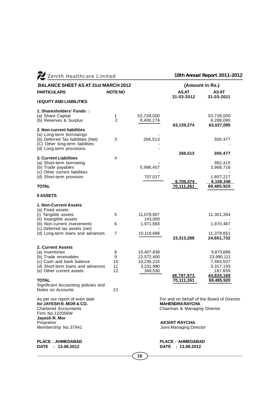| Z Zenith Healthcare Limited                                   |                |                      |                                            | 18th Annual Report 2011-2012  |  |
|---------------------------------------------------------------|----------------|----------------------|--------------------------------------------|-------------------------------|--|
| <b>BALANCE SHEET AS AT 31st MARCH 2012</b>                    |                |                      | (Amount in Rs.)                            |                               |  |
| <b>PARTICULARS</b>                                            | <b>NOTE NO</b> |                      | <b>ASAT</b><br>31-03-2012                  | AS AT                         |  |
| <b>I EQUITY AND LIABILITIES</b>                               |                |                      |                                            | 31-03-2011                    |  |
| 1. Sharesholders' Funds:                                      |                |                      |                                            |                               |  |
| (a) Share Capital                                             | 1              | 53,739,000           |                                            | 53,739,000                    |  |
| (b) Reserves & Surplus                                        | $\overline{2}$ | 9,400,274            | 63,139,274                                 | 9,288,095<br>63,027,095       |  |
| 2. Non-current liabilities                                    |                |                      |                                            |                               |  |
| (a) Long-term borrowings                                      |                |                      |                                            |                               |  |
| (b) Deferred Tax liabilities (Net)                            | 3              | 266,513              |                                            | 300,477                       |  |
| (C) Other long-term liabilities<br>(d) Long-term provisions   |                |                      |                                            |                               |  |
|                                                               |                |                      | 266,513                                    | 300,477                       |  |
| 3. Current Liabilities                                        | 4              |                      |                                            |                               |  |
| (a) Short-term borrowing                                      |                |                      |                                            | 382,415                       |  |
| (b) Trade payables                                            |                | 5,998,457            |                                            | 3,968,716                     |  |
| (c) Other current liabilities                                 |                |                      |                                            |                               |  |
| (d) Short-term provision                                      |                | 707,017              | 6,705,474                                  | 1,807,217<br><u>6,158,348</u> |  |
| <b>TOTAL</b>                                                  |                |                      | 70,111,261                                 | 69,485,920                    |  |
| <b>II ASSETS</b>                                              |                |                      |                                            |                               |  |
|                                                               |                |                      |                                            |                               |  |
| 1. Non-Current Assets<br>(a) Fixed assets                     |                |                      |                                            |                               |  |
| (i) Tangible assets                                           | 5              | 11,078,907           |                                            | 11,301,394                    |  |
| (ii) Intangible assets                                        |                | 143,000              |                                            |                               |  |
| (b) Non-current investments                                   | 6              | 1,971,693            |                                            | 1,970,487                     |  |
| (c) Deferred tax assets (net)                                 |                |                      |                                            |                               |  |
| (d) Long-term loans and advances                              | $\overline{7}$ | 10,119,688           |                                            | 11,379,851                    |  |
|                                                               |                |                      | 23,313,288                                 | 24,651,732                    |  |
| 2. Current Assets                                             |                |                      |                                            |                               |  |
| (a) Inventories                                               | 8              | 10,407,838           |                                            | 9,873,689                     |  |
| (b) Trade receivables                                         | 9              | 22,572,400           |                                            | 23,990,111                    |  |
| (c) Cash and bank balance                                     | 10<br>11       | 10,236,215           |                                            | 7,465,537                     |  |
| (d) Short-term loans and advances<br>(e) Other current assets | 12             | 3,231,990<br>349,530 |                                            | 3,317,193<br>187,659          |  |
|                                                               |                |                      | 46,797,973                                 | 44,834,189                    |  |
| <b>TOTAL</b>                                                  |                |                      | 70,111,261                                 | 69,485,920                    |  |
| Significant Accounting policies and                           |                |                      |                                            |                               |  |
| Notes on Accounts                                             | 21             |                      |                                            |                               |  |
| As per our report of even date                                |                |                      | For and on behalf of the Board of Director |                               |  |
| for JAYESH R. MOR & CO.                                       |                |                      | <b>MAHENDRA RAYCHA</b>                     |                               |  |
| <b>Chartered Accountants</b>                                  |                |                      | Chairman & Managing Director               |                               |  |
| Firm No.122056W                                               |                |                      |                                            |                               |  |
| Jayesh R. Mor<br>Proprietor                                   |                |                      | <b>AKSHIT RAYCHA</b>                       |                               |  |
| Membership No.37941                                           |                |                      | Joint Managing Director                    |                               |  |
|                                                               |                |                      |                                            |                               |  |
| <b>PLACE: AHMEDABAD</b>                                       |                |                      |                                            |                               |  |
|                                                               |                |                      | <b>PLACE: AHMEDABAD</b>                    |                               |  |

**DATE : 13.08.2012 DATE : 13.08.2012**

**16**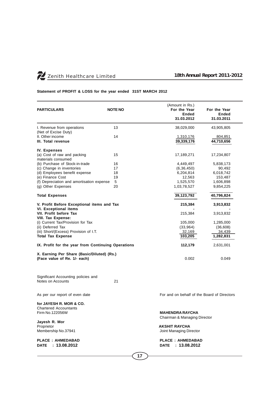

## **Statement of PROFIT & LOSS for the year ended 31ST MARCH 2012**

| <b>PARTICULARS</b>                                 | <b>NOTE NO</b> | (Amount in Rs.)<br>For the Year<br><b>Ended</b><br>31.03.2012 | For the Year<br><b>Ended</b><br>31.03.2011 |
|----------------------------------------------------|----------------|---------------------------------------------------------------|--------------------------------------------|
| I. Revenue from operations<br>(Net of Excise Duty) | 13             | 38,029,000                                                    | 43,905,805                                 |
| II. Other income<br>III. Total revenue             | 14             | 1,310,176<br>39,339,176                                       | 804,851<br>44,710,656                      |
| <b>IV. Expenses</b>                                |                |                                                               |                                            |
| (a) Cost of raw and packing<br>materials consumed  | 15             | 17,189,271                                                    | 17,234,807                                 |
| (b) Purchase of Stock-in-trade                     | 16             | 4,449,497                                                     | 5,838,173                                  |
| (c) Change in inventories                          | 17             | (6, 36, 450)                                                  | 90,492                                     |
| (d) Employees benefit expense                      | 18             | 6,204,814                                                     | 6,018,742                                  |
| (e) Finance Cost                                   | 19             | 12,563                                                        | 153,487                                    |
| (f) Depreciation and amortisation expense          | 5              | 1,525,570                                                     | 1,606,898                                  |
| (g) Other Expenses                                 | 20             | 1,03,78,527                                                   | 9,854,225                                  |
| <b>Total Expenses</b>                              |                | 39,123,792                                                    | 40,796,824                                 |
| V. Profit Before Exceptional items and Tax         |                | 215,384                                                       | 3,913,832                                  |
| <b>VI. Exceptional items</b>                       |                |                                                               |                                            |
| VII. Profit before Tax                             |                | 215,384                                                       | 3,913,832                                  |
| VIII. Tax Expense:                                 |                |                                                               |                                            |
| (i) Current Tax/Provision for Tax                  |                | 105,000                                                       | 1,285,000                                  |
| (ii) Deferred Tax                                  |                | (33,964)                                                      | (36,608)                                   |
| (iii) Short/(Excess) Provision of I.T.             |                | 32,169                                                        | 34,439                                     |
| <b>Total Tax Expense</b>                           |                | 103,205                                                       | 1,282,831                                  |
| IX. Profit for the year from Continuing Operations | 112,179        | 2,631,001                                                     |                                            |
| X. Earning Per Share (Basic/Diluted) (Rs.)         |                |                                                               |                                            |
| (Face value of Re. 1/- each)                       |                | 0.002                                                         | 0.049                                      |
|                                                    |                |                                                               |                                            |
|                                                    |                |                                                               |                                            |

Significant Accounting policies and Notes on Accounts 21

**for JAYESH R. MOR & CO.** Chartered Accountants<br>Firm No.122056W

**Jayesh R. Mor** Proprietor **AKSHIT RAYCHA**

**PLACE : AHMEDABAD PLACE : AHMEDABAD**

As per our report of even date **For and on behalf of the Board of Directors** 

Firm No.122056W **MAHENDRA RAYCHA** Chairman & Managing Director

Joint Managing Director

**DATE : 13.08.2012 DATE : 13.08.2012**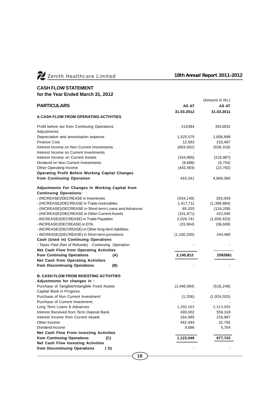

# **CASH FLOW STATEMENT**

**for the Year Ended March 31, 2012**

|                                                             |     |             | (Amount in Rs.) |
|-------------------------------------------------------------|-----|-------------|-----------------|
| <b>PARTICULARS</b>                                          |     | AS AT       | AS AT           |
|                                                             |     | 31.03.2012  | 31.03.2011      |
| A CASH FLOW FROM OPERATING ACTIVITIES                       |     |             |                 |
| Profit before tax from Continuing Operations<br>Adjustments |     | 215384      | 3913832         |
| Depreciation and amortisation expense                       |     | 1,525,570   | 1,606,898       |
| <b>Finance Cost</b>                                         |     | 12,563      | 153,487         |
| Interest Income on Non Current Investments                  |     | (693,002)   | (559, 318)      |
| Interest Income on Current Investments                      |     |             |                 |
| Interest Income on Current Assets                           |     | (164, 995)  | (216, 987)      |
| Dividend on Non Current Investments                         |     | (9,686)     | (5,754)         |
| Other Operating Income                                      |     | (442, 493)  | (22, 792)       |
| <b>Operating Profit Before Working Capital Changes</b>      |     |             |                 |
| from Continuing Operation                                   |     | 443,341     | 4,869,366       |
| <b>Adjustments For Changes In Working Capital from</b>      |     |             |                 |
| <b>Continuing Operations:</b>                               |     |             |                 |
| - (INCREASE)/DECREASE in Inventories                        |     | (534, 149)  | 263,093         |
| - (INCREASE)/DECREASE in Trade receivables                  |     | 1,417,711   | (1,388,884)     |
| - (INCREASE)/DECREASE in Short-term Loans and Advances      |     | 85,203      | (124, 208)      |
| - (INCREASE)/DECREASE in Other Current Assets               |     | (161, 871)  | 422,045         |
| - INCREASE/(DECREASE) in Trade Payables                     |     | 2,029,741   | (1,656,633)     |
| - INCREASE/(DECREASE) in DTA                                |     | (33,964)    | (36,608)        |
| - INCREASE/(DECREASE) in Other long-term liabilities        |     |             |                 |
| - INCREASE/(DECREASE) in Short-term provisions              |     | (1,100,200) | 244,490         |
| Cash (Used in) Continuing Operations                        |     |             |                 |
| - Taxes Paid (Net of Refunds) - Continuing Operation        |     |             |                 |
| Net Cash Flow from Operating Activities                     |     |             |                 |
| from Continuing Operations                                  | (A) | 2,145,812   | 2592661         |
| Net Cash from Operating Activities                          |     |             |                 |
| from Discontinuing Operations                               | (B) |             |                 |
| <b>B. CASH FLOW FROM INVESTING ACTIVITIES</b>               |     |             |                 |
| Adjustments for changes in :                                |     |             |                 |
| Purchase of Tangible/Intangible Fixed Assets                |     | (1,446,084) | (516, 248)      |
| Capital Work in Progress                                    |     |             |                 |
| Purchase of Non Current Investment:                         |     | (1,206)     | (1,924,025)     |
| Purchase of Current Investment:                             |     |             |                 |
| Long Term Loans & Advances                                  |     | 1,260,163   | 2,313,065       |
| Interest Received from Term Deposit Bank                    |     | 693,002     | 559,318         |
| Interest Income from Current Assets                         |     | 164,995     | 216,987         |
| Other Income                                                |     | 442,493     | 22,792          |
| Dividend Income                                             |     | 9,686       | 5,754           |
| Net Cash Flow From Investing Activities                     |     |             |                 |
| from Continuing Operations                                  | (C) | 1,123,049   | 677,743         |
| <b>Net Cash Flow Investing Activities</b>                   |     |             |                 |
| from Discontinuing Operations                               | (D) |             |                 |
|                                                             |     |             |                 |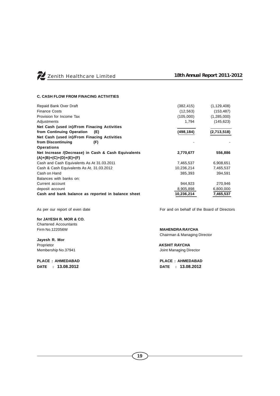

## **C. CASH FLOW FROM FINACING ACTIVITIES**

| Repaid Bank Over Draft                              | (382, 415) | (1, 129, 408) |
|-----------------------------------------------------|------------|---------------|
| <b>Finance Costs</b>                                | (12, 563)  | (153, 487)    |
| Provision for Income Tax                            | (105,000)  | (1,285,000)   |
| Adjustments                                         | 1,794      | (145, 623)    |
| Net Cash (used in)/From Finacing Activities         |            |               |
| from Continuing Operation<br>(E)                    | (498, 184) | (2,713,518)   |
| Net Cash (used in)/From Finacing Activities         |            |               |
| from Discontinuing<br>(F)                           |            |               |
| <b>Operations</b>                                   |            |               |
| Net Increase /(Decrease) in Cash & Cash Equivalents | 2,770,677  | 556,886       |
| $(A)+(B)+(C)+(D)+(E)+(F)$                           |            |               |
| Cash and Cash Equivalents As At 31.03.2011          | 7,465,537  | 6,908,651     |
| Cash & Cash Equivalents As At. 31.03.2012           | 10,236,214 | 7,465,537     |
| Cash on Hand                                        | 385,393    | 394,591       |
| Balances with banks on:                             |            |               |
| Current account                                     | 944.923    | 270,946       |
| deposit account                                     | 8,905,898  | 6,800,000     |
| Cash and bank balance as reported in balance sheet  | 10,236,214 | 7,465,537     |

**for JAYESH R. MOR & CO.** Chartered Accountants Firm No.122056W **MAHENDRA RAYCHA**

**Jayesh R. Mor** Proprietor<br>
Membership No.37941<br>
Membership No.37941

**DATE : 13.08.2012 DATE : 13.08.2012**

As per our report of even date For and on behalf of the Board of Directors

Chairman & Managing Director

Joint Managing Director

**PLACE : AHMEDABAD PLACE : AHMEDABAD**

**19**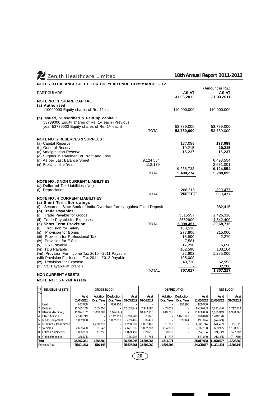| Zenith Healthcare Limited                                                                                                                                                                                                                                                                                                                                                                                                                                                                                                                                                         |                                      |                                                                                                                                         | 18th Annual Report 2011-2012                                                                                                         |
|-----------------------------------------------------------------------------------------------------------------------------------------------------------------------------------------------------------------------------------------------------------------------------------------------------------------------------------------------------------------------------------------------------------------------------------------------------------------------------------------------------------------------------------------------------------------------------------|--------------------------------------|-----------------------------------------------------------------------------------------------------------------------------------------|--------------------------------------------------------------------------------------------------------------------------------------|
| NOTES TO BALANCE SHEET FOR THE YEAR ENDED 31st MARCH, 2012                                                                                                                                                                                                                                                                                                                                                                                                                                                                                                                        |                                      |                                                                                                                                         |                                                                                                                                      |
| <b>PARTICULARS</b>                                                                                                                                                                                                                                                                                                                                                                                                                                                                                                                                                                |                                      | AS AT<br>31.03.2012                                                                                                                     | (Amount in Rs.)<br>AS AT<br>31.03.2011                                                                                               |
| <b>NOTE NO: 1 SHARE CAPITAL:</b><br>(a) Authorised<br>110000000 Equity shares of Re. 1/- each                                                                                                                                                                                                                                                                                                                                                                                                                                                                                     |                                      | 110,000,000                                                                                                                             | 110,000,000                                                                                                                          |
| (b) Issued, Subscribed & Paid up capital :<br>53739000 Equity shares of Re. 1/- each (Previous<br>year 53739000 Equity shares of Re. 1/- each)                                                                                                                                                                                                                                                                                                                                                                                                                                    | <b>TOTAL</b>                         | 53,739,000<br>53,739,000                                                                                                                | 53,739,000<br>53,739,000                                                                                                             |
| <b>NOTE NO: 2 RESERVES &amp; SURPLUS:</b><br>(a) Capital Reserve<br>(b) General Reserve<br>(c) Amalgmation Reserve<br>(d) Surplus in statement of Profit and Loss<br>(i) As per Last Balance Sheet<br>(ii) Profit for the Year                                                                                                                                                                                                                                                                                                                                                    | 9,124,554<br>112,179<br><b>TOTAL</b> | 137,089<br>10,215<br>16,237<br>9,236,733<br>9,400,274                                                                                   | 137,089<br>10,215<br>16,237<br>6,493,554<br>2,631,001<br>9,124,554<br>9,288,095                                                      |
| <b>NOTE NO: 3 NON CURRENT LIABILITIES</b><br>(a) Defferred Tax Liabilities (Net)<br>(i) Depreciation<br><b>NOTE NO: 4 CURRENT LIABILITIES</b>                                                                                                                                                                                                                                                                                                                                                                                                                                     | <b>TOTAL</b>                         | 266,513<br>266,513                                                                                                                      | 300,477<br>300,477                                                                                                                   |
| (a) Short Term Borrowings<br>(i) Secured - State Bank of India Overdraft facility against Fixed Deposit<br>(b) Trade Payables<br>(i) Trade Payable for Goods<br>(ii) Trade Payable for Expenses<br>(c) Short Term Provision<br><b>Provision for Salary</b><br>(i)<br>(ii) Provision for Bonus<br>(iii) Provision for Professional Tax<br>(iv) Provision for E.S.I.<br>(v) CST Payable<br>(vi) TDS Payable<br>(vii) Provision For Income Tax 2010 - 2011 Payable<br>(viii) Provision For Income Tax 2011 - 2012 Payable<br>(ix) Provision for Expense<br>(x) Vat Payable at Branch | <b>TOTAL</b><br><b>TOTAL</b>         | 3315557<br>2682900<br>5,998,457<br>108,518<br>277,800<br>15,900<br>7,581<br>17,290<br>102,598<br>22,602<br>105,000<br>49,728<br>707,017 | 382,415<br>2,426,316<br>1.542.400<br>39,68,716<br>315,000<br>2,270<br>6,690<br>103,104<br>1,285,000<br>62,953<br>32,200<br>1,807,217 |
| <b>NON CURRENT ASSETS</b>                                                                                                                                                                                                                                                                                                                                                                                                                                                                                                                                                         |                                      |                                                                                                                                         |                                                                                                                                      |

### **NOTE NO : 5 Fixed Assets**

| SR.<br>INO. | TENGIBI E ASSETS       | <b>GROSS BLOCK</b> |           |                          | <b>DEPRECIATION</b> |            |           |                          | <b>NET BLOCK</b> |            |            |
|-------------|------------------------|--------------------|-----------|--------------------------|---------------------|------------|-----------|--------------------------|------------------|------------|------------|
|             |                        | As at              | Addition  | <b>Deduction</b>         | Asat                | As at      | Addition  | Deduction                | Asat             | Asat       | As at      |
|             |                        | 01-04-2011         | Dur. Year | Dur. Year                | 31-03-2012          | 01-04-2011 | Dur. Year | Dur. Year                | 31-03-2012       | 31-03-2012 | 31-03-2011 |
|             | Land                   | 800.900            |           | 800.900                  |                     |            |           | 800.900                  | 800.900          |            |            |
|             | Building               | 12.533.149         | 105.000   |                          | 12.638.149          | 7.943.680  | 463.003   | $\overline{\phantom{0}}$ | 8.406.683        | 4,231,466  | 3,712,214  |
| 3           | Plant & Machinery      | 13.924.162         | 1,050,787 | 14.974.949               |                     | 10.347.215 | 610.785   | ٠                        | 10.958.000       | 4.016.949  | 6.330.266  |
|             | Electrification        | 2.142.713          |           | 2.142.713                | 1.769.998           | 51.845     |           | 1,821,843                | 320.870          | 1.449.128  |            |
| 15.         | R & D Equipment        | 1,002,038          |           | 002.038                  | 423.465             | 80.479     |           | 503.944                  | 498.094          | (74, 629)  |            |
| l 6         | Furniture & Dead Stock |                    | 1.230.203 | $\overline{\phantom{a}}$ | .230.203            | 1.057.482  | 31.262    | $\sim$                   | 1.088.744        | 141.459    | 916.023    |
|             | Vehicles               | 2.609.488          | 61.547    | $\overline{\phantom{a}}$ | 2.671.035           | 1.832.707  | 204,393   | $\overline{\phantom{a}}$ | 2.037.100        | 633,935    | 1,198,772  |
| 18          | Office Equipments      | 1.008.203          | 71.250    | $\overline{\phantom{a}}$ | 1.079.453           | 799.636    | 58,068    |                          | 857.704          | 221.749    | 577.887    |
| 19          | Office Premises        | 356.505            |           |                          | 356.505             | 131.784    | 11.236    | $\overline{\phantom{a}}$ | 143.020          | 213.485    | (81.701)   |
|             | Total                  | 35.607.361         | 1.288.584 | ۰                        | 36.895.945          | 24.305.967 | 1.511.071 | $\overline{\phantom{a}}$ | 25.817.038       | 11.078.907 | 14.828.860 |
|             | Previous Year          | 35.091.213         | 516.148   |                          | 35,607,361          | 22.699.069 | 1,606,898 | $\blacksquare$           | 24.305.967       | 11.301.394 | 12,392,144 |

**20**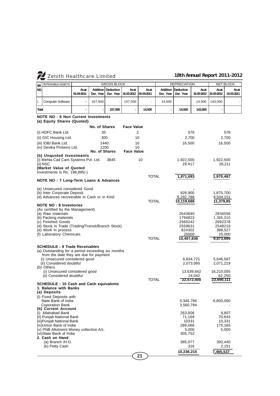| SR.   | <b>INTENGIBLE ASSETS</b>                                                 | <b>GROSS BLOCK</b>  |                       | <b>DEPRECIATION</b>    |                    | <b>NET BLOCK</b>    |                       |                        |                      |                    |                     |
|-------|--------------------------------------------------------------------------|---------------------|-----------------------|------------------------|--------------------|---------------------|-----------------------|------------------------|----------------------|--------------------|---------------------|
| NO.   |                                                                          | As at<br>01-04-2011 | Addition<br>Dur. Year | Deduction<br>Dur. Year | Asat<br>31-03-2012 | As at<br>01-04-2011 | Addition<br>Dur. Year | Deduction<br>Dur. Year | Asat<br>31-03-2012   | Asat<br>31-03-2012 | As at<br>31-03-2011 |
| 1     | <b>Computer Software</b>                                                 | $\Box$              | 157,500               |                        | 157,500            | L.                  | 14,500                |                        | 14,500               | 143,000            |                     |
| Total |                                                                          | ÷,                  |                       | 157,500                | $\overline{a}$     | 14,500              |                       | 14,500                 | 143,000              |                    |                     |
|       | <b>NOTE NO: 6 Non Current Investments</b>                                |                     |                       |                        |                    |                     |                       |                        |                      |                    |                     |
|       | (a) Equity Shares (Quoted)                                               |                     |                       |                        |                    |                     |                       |                        |                      |                    |                     |
|       |                                                                          |                     | No. of Shares         |                        | <b>Face Value</b>  |                     |                       |                        |                      |                    |                     |
|       | (i) HDFC Bank Ltd.                                                       |                     | 35                    |                        |                    | 2                   |                       |                        | 576                  |                    | 576                 |
|       | (ii) GIC Housing Ltd.                                                    |                     |                       | 300                    |                    | 10                  |                       | 2.700                  |                      |                    | 2,700               |
|       | (iii) IDBI Bank Ltd.                                                     |                     | 1440                  |                        |                    | 10                  |                       | 16,500                 |                      |                    | 16,500              |
|       | (iv) Devika Proteins Ltd.                                                |                     | 1200<br>No. of Shares |                        | <b>Face Value</b>  | 10                  |                       |                        |                      |                    |                     |
|       | (b) Unquoted Investments                                                 |                     |                       |                        |                    |                     |                       |                        |                      |                    |                     |
|       | (i) Mehta Cad Cam Systems Pvt. Ltd.<br>(ii) NSC                          |                     |                       | 3845                   |                    | 10                  |                       | 1,922,500<br>29,417    |                      | 1,922,500          | 28,211              |
|       | (Market Value of Quoted                                                  |                     |                       |                        |                    |                     |                       |                        |                      |                    |                     |
|       | Investments is $Rs. 198,895/$ )                                          |                     |                       |                        |                    | <b>TOTAL</b>        |                       | 1,971,693              |                      | 1,970,487          |                     |
|       | NOTE NO: 7 Long-Term Loans & Advances                                    |                     |                       |                        |                    |                     |                       |                        |                      |                    |                     |
|       | (a) Unsecured considered Good                                            |                     |                       |                        |                    |                     |                       |                        |                      |                    |                     |
|       | (b) Inter Corporate Deposit                                              |                     |                       |                        |                    |                     |                       | 826,900                |                      | 1,875,700          |                     |
|       | (d) Advances recoverable in Cash or in Kind                              |                     |                       |                        |                    |                     |                       | 9,292,788              |                      | 9,504,151          |                     |
|       | <b>NOTE NO: 8 Inventories</b><br>(As certified by the Management)        |                     |                       |                        |                    | <b>TOTAL</b>        |                       | 10,119,688             |                      | 11,379,85          |                     |
|       | (a) Raw materials                                                        |                     |                       |                        |                    |                     |                       | 2643840                |                      | 2834556            |                     |
|       | (b) Packing materials                                                    |                     |                       |                        |                    |                     |                       | 1794823                |                      | 1,385,010          |                     |
|       | (c) Finished Goods                                                       |                     |                       |                        |                    |                     |                       | 2560242                |                      | 2692378            |                     |
|       | (d) Stock in Trade (Trading/Transit/Branch Stock)<br>(e) Work in process |                     |                       |                        |                    |                     |                       | 2559631<br>824302      |                      | 2548218<br>388,527 |                     |
|       | (f) Laboratory Chemicals                                                 |                     |                       |                        |                    |                     |                       | 25000                  |                      |                    | 25,000              |
|       |                                                                          |                     |                       |                        |                    | <b>TOTAL</b>        |                       | 10,407,838             |                      | 9,873,689          |                     |
|       | <b>SCHEDULE: 9 Trade Receivables</b>                                     |                     |                       |                        |                    |                     |                       |                        |                      |                    |                     |
|       | (a) Outstanding for a period exceeding six months                        |                     |                       |                        |                    |                     |                       |                        |                      |                    |                     |
|       | from the date they are due for payment<br>(i) Unsecured considered good  |                     |                       |                        |                    |                     |                       |                        | 6,834,721            | 5,646,587          |                     |
|       | (ii) Considered doubtful                                                 |                     |                       |                        |                    |                     |                       |                        | 2,073,995            | 2,071,219          |                     |
|       | (b) Others                                                               |                     |                       |                        |                    |                     |                       |                        |                      |                    |                     |
|       | (i) Unsecured considered good                                            |                     |                       |                        |                    |                     |                       |                        | 13,639,642           | 16,210,055         |                     |
|       | (ii) Considered doubtful                                                 |                     |                       |                        |                    | <b>TOTAL</b>        |                       |                        | 24,042<br>22,572,400 | 23,990,111         | 62,250              |
|       | <b>SCHEDULE: 10 Cash and Cash equivalents</b>                            |                     |                       |                        |                    |                     |                       |                        |                      |                    |                     |
|       | 1. Balance with Banks<br>(a) Deposits                                    |                     |                       |                        |                    |                     |                       |                        |                      |                    |                     |
|       | (i) Fixed Deposits with                                                  |                     |                       |                        |                    |                     |                       |                        |                      |                    |                     |
|       | State Bank of India                                                      |                     |                       |                        |                    |                     |                       | 5,345,784              |                      | 6,800,000          |                     |
|       | <b>Coporation Bank</b>                                                   |                     |                       |                        |                    |                     |                       | 3,560,784              |                      |                    |                     |
|       | (b) Current Account<br>(i) Allahabad Bank                                |                     |                       |                        |                    |                     |                       | 263,606                |                      |                    | 9,807               |
|       | (ii) Punjab National Bank                                                |                     |                       |                        |                    |                     |                       | 71,169                 |                      |                    | 70,643              |
|       | (iii) Punjab National Bank                                               |                     |                       |                        |                    |                     |                       | 10331                  |                      |                    | 10,331              |
|       | (iv)Union Bank of India<br>(v) PNB Allotment Money collection A/c.       |                     |                       |                        |                    |                     |                       | 289,066<br>5,000       |                      | 175,165            | 5,000               |
|       | (vi)State Bank of India                                                  |                     |                       |                        |                    |                     |                       | 305,752                |                      |                    |                     |
|       | 2. Cash on Hand                                                          |                     |                       |                        |                    |                     |                       |                        |                      |                    |                     |
|       | $(a)$ Branch $/H.O.$                                                     |                     |                       |                        |                    |                     |                       | 385,077                |                      | 392,440            |                     |
|       | (b) Petty Cash                                                           |                     |                       |                        |                    |                     |                       |                        | 316                  |                    | 2,151               |
|       |                                                                          |                     |                       |                        |                    |                     |                       | 10,236,215             |                      | 7,465,537          |                     |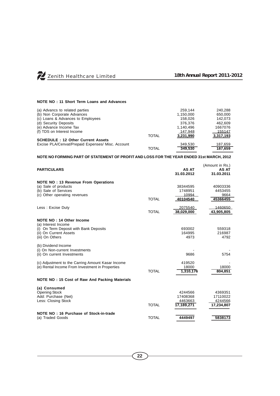Zenith Healthcare Limited *18th Annual Report 2011-2012*

## **NOTE NO : 11 Short Term Loans and Advances**

| (a) Advancs to related parties                    |              | 259.144   | 240.288   |
|---------------------------------------------------|--------------|-----------|-----------|
| (b) Non Corporate Advances                        |              | 1,150,000 | 650,000   |
| (c) Loans & Advances to Employees                 |              | 158.026   | 142.073   |
| (d) Security Deposits                             |              | 376.376   | 462.609   |
| (e) Advance Income Tax                            |              | 1,140,496 | 1667076   |
| (f) TDS on Interest Income                        |              | 147,948   | 155147    |
|                                                   | <b>TOTAL</b> | 3,231,990 | 3,317,193 |
| <b>SCHEDULE: 12 Other Current Assets</b>          |              |           |           |
| Excise PLA/Cenvat/Prepaid Expenses/ Misc. Account |              | 349.530   | 187,659   |
|                                                   | <b>TOTAL</b> | 349,530   | 187,659   |

# **NOTE NO FORMING PART OF STATEMENT OF PROFIT AND LOSS FOR THE YEAR ENDED 31st MARCH, 2012**

| <b>PARTICULARS</b>                                                                                                                     |              | AS AT<br>31.03.2012                          | (Amount in Rs.)<br>AS AT<br>31.03.2011       |
|----------------------------------------------------------------------------------------------------------------------------------------|--------------|----------------------------------------------|----------------------------------------------|
| <b>NOTE NO: 13 Revenue From Operations</b><br>(a) Sale of products<br>(b) Sale of Services<br>(c) Other operating revenues             | <b>TOTAL</b> | 38344595<br>1748951<br>10994<br>40104540     | 40903336<br>4453455<br>9664<br>45366455      |
| Less: Excise Duty                                                                                                                      | <b>TOTAL</b> | 2075540<br>38,029,000                        | 1460650<br>43,905,805                        |
| NOTE NO: 14 Other Income<br>(a) Interest Income<br>(i) On Term Deposit with Bank Deposits<br>(ii) On Current Assets<br>(iii) On Others |              | 693002<br>164995<br>4973                     | 559318<br>216987<br>4792                     |
| (b) Dividend Income<br>(i) On Non-current Investments<br>(ii) On current Investments                                                   |              | 9686                                         | 5754                                         |
| (c) Adjustment to the Carring Amount Kasar Income<br>(e) Rental Income From Investment in Properties                                   | <b>TOTAL</b> | 419520<br>18000<br>1,310,176                 | 18000<br>804.851                             |
| NOTE NO: 15 Cost of Raw And Packing Materials                                                                                          |              |                                              |                                              |
| (a) Consumed<br><b>Opening Stock</b><br>Add: Purchase (Net)<br>Less: Closing Stock                                                     | <b>TOTAL</b> | 4244566<br>17408368<br>4463663<br>17,189,271 | 4369351<br>17110022<br>4244566<br>17,234,807 |
| NOTE NO: 16 Purchase of Stock-in-trade<br>(a) Traded Goods                                                                             | <b>TOTAL</b> | 4449497                                      | 5838173                                      |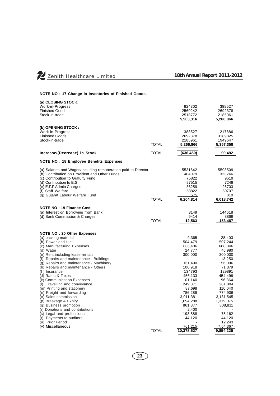

# **NOTE NO : 17 Change in Inventories of Finished Goods,**

| (a) CLOSING STOCK:                                                                                                                                                                                                                                                                                                                                                                                                                                                                                                                                                                                                                                                              |              | 824302                                                                                                                                                                                                                             | 388527                                                                                                                                                                                                                                       |
|---------------------------------------------------------------------------------------------------------------------------------------------------------------------------------------------------------------------------------------------------------------------------------------------------------------------------------------------------------------------------------------------------------------------------------------------------------------------------------------------------------------------------------------------------------------------------------------------------------------------------------------------------------------------------------|--------------|------------------------------------------------------------------------------------------------------------------------------------------------------------------------------------------------------------------------------------|----------------------------------------------------------------------------------------------------------------------------------------------------------------------------------------------------------------------------------------------|
| Work-in-Progress                                                                                                                                                                                                                                                                                                                                                                                                                                                                                                                                                                                                                                                                |              | 2560242                                                                                                                                                                                                                            | 2692378                                                                                                                                                                                                                                      |
| <b>Finished Goods</b>                                                                                                                                                                                                                                                                                                                                                                                                                                                                                                                                                                                                                                                           |              | 2518772                                                                                                                                                                                                                            | 2185961                                                                                                                                                                                                                                      |
| Stock-in-trade                                                                                                                                                                                                                                                                                                                                                                                                                                                                                                                                                                                                                                                                  |              | 5,903,316                                                                                                                                                                                                                          | 5,266,866                                                                                                                                                                                                                                    |
| (b) OPENING STOCK:                                                                                                                                                                                                                                                                                                                                                                                                                                                                                                                                                                                                                                                              | <b>TOTAL</b> | 388527                                                                                                                                                                                                                             | 217886                                                                                                                                                                                                                                       |
| Work-in-Progress                                                                                                                                                                                                                                                                                                                                                                                                                                                                                                                                                                                                                                                                |              | 2692378                                                                                                                                                                                                                            | 3189825                                                                                                                                                                                                                                      |
| <b>Finished Goods</b>                                                                                                                                                                                                                                                                                                                                                                                                                                                                                                                                                                                                                                                           |              | 2185961                                                                                                                                                                                                                            | 1949647                                                                                                                                                                                                                                      |
| Stock-in-trade                                                                                                                                                                                                                                                                                                                                                                                                                                                                                                                                                                                                                                                                  |              | 5,266,866                                                                                                                                                                                                                          | 5,357,358                                                                                                                                                                                                                                    |
| Increase/(Decrease) in Stock                                                                                                                                                                                                                                                                                                                                                                                                                                                                                                                                                                                                                                                    | <b>TOTAL</b> | (636, 450)                                                                                                                                                                                                                         | 90,492                                                                                                                                                                                                                                       |
| <b>NOTE NO: 18 Employee Benefits Expenses</b>                                                                                                                                                                                                                                                                                                                                                                                                                                                                                                                                                                                                                                   |              |                                                                                                                                                                                                                                    |                                                                                                                                                                                                                                              |
| (a) Salaries and Wages/Including remuneration paid to Director                                                                                                                                                                                                                                                                                                                                                                                                                                                                                                                                                                                                                  |              | 5531642                                                                                                                                                                                                                            | 5598509                                                                                                                                                                                                                                      |
| (b) Contribution on Provident and Other Funds                                                                                                                                                                                                                                                                                                                                                                                                                                                                                                                                                                                                                                   |              | 404079                                                                                                                                                                                                                             | 323246                                                                                                                                                                                                                                       |
| (c) Contribution to Gratuity Fund                                                                                                                                                                                                                                                                                                                                                                                                                                                                                                                                                                                                                                               |              | 75822                                                                                                                                                                                                                              | 9519                                                                                                                                                                                                                                         |
| (d) Contribution to E.S.I.                                                                                                                                                                                                                                                                                                                                                                                                                                                                                                                                                                                                                                                      |              | 97515                                                                                                                                                                                                                              | 7248                                                                                                                                                                                                                                         |
| (e) E.P.F Admin Charges                                                                                                                                                                                                                                                                                                                                                                                                                                                                                                                                                                                                                                                         |              | 36259                                                                                                                                                                                                                              | 28703                                                                                                                                                                                                                                        |
| (f) Staff Welfare                                                                                                                                                                                                                                                                                                                                                                                                                                                                                                                                                                                                                                                               |              | 58822                                                                                                                                                                                                                              | 50707                                                                                                                                                                                                                                        |
| (g) Gujarat Labour Welfare Fund                                                                                                                                                                                                                                                                                                                                                                                                                                                                                                                                                                                                                                                 |              | 675                                                                                                                                                                                                                                | 810                                                                                                                                                                                                                                          |
|                                                                                                                                                                                                                                                                                                                                                                                                                                                                                                                                                                                                                                                                                 | <b>TOTAL</b> | 6,204,814                                                                                                                                                                                                                          | 6,018,742                                                                                                                                                                                                                                    |
| <b>NOTE NO: 19 Finance Cost</b>                                                                                                                                                                                                                                                                                                                                                                                                                                                                                                                                                                                                                                                 | <b>TOTAL</b> | 3149                                                                                                                                                                                                                               | 144618                                                                                                                                                                                                                                       |
| (a) Interest on Borrowing from Bank                                                                                                                                                                                                                                                                                                                                                                                                                                                                                                                                                                                                                                             |              | 9414                                                                                                                                                                                                                               | 8869                                                                                                                                                                                                                                         |
| (d) Bank Commission & Charges                                                                                                                                                                                                                                                                                                                                                                                                                                                                                                                                                                                                                                                   |              | 12,563                                                                                                                                                                                                                             | 153,487                                                                                                                                                                                                                                      |
| <b>NOTE NO: 20 Other Expenses</b><br>(a) packing material<br>(b) Power and fuel<br>(c) Manufacturing Expenses<br>(d) Water<br>(e) Rent including lease rentals<br>(f) Repairs and maintenance - Buildings<br>(g) Repairs and maintenance - Machinery<br>(h) Repairs and maintenance - Others<br>(I) Insurance<br>(J) Rates & Taxes<br>(k) Communication Expenses<br>(I) Travelling and conveyance<br>(m) Printing and stationery<br>(n) Freight and forwarding<br>(o) Sales commission<br>(p) Breakage & Expiry<br>(q) Business promotion<br>(r) Donations and contributions<br>(s) Legal and professional<br>(t) Payments to auditors<br>(u) Prior Period<br>(v) Miscellaneous | <b>TOTAL</b> | 9,365<br>504,479<br>886,406<br>24,777<br>300,000<br>161,490<br>106,918<br>134793<br>456,133<br>101,140<br>249,871<br>87,698<br>786,288<br>3,011,381<br>1,694,288<br>861,877<br>2,400<br>193,888<br>44,120<br>761,215<br>10,378,527 | 28,403<br>507,244<br>688,046<br>46,980<br>300,000<br>13,250<br>156,096<br>71,379<br>129891<br>454,499<br>96,364<br>281,804<br>110,040<br>774,906<br>3,181,545<br>1,319,075<br>808,811<br>75,162<br>44,120<br>12,243<br>7,54,367<br>9,854,225 |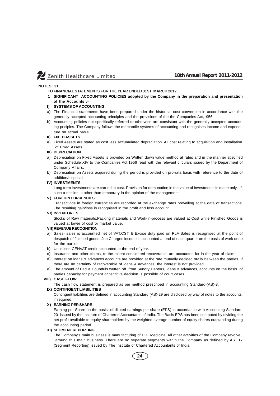#### **NOTES : 21**

- **TO FINANCIAL STATEMENTS FOR THE YEAR ENDED 31ST MARCH 2012**
- **1 SIGNIFICANT ACCOUNTING POLICIES adopted by the Company in the preparation and presentation of the Accounts :-**

#### **I) SYSTEMS OF ACCOUNTING**

- a) The Financial statements have been prepared under the historical cost convention in accordance with the generally accepted accounting principles and the provisions of the the Companies Act,1956.
- b) Accounting policies not specifically referred to otherwise are consistant with the generally accepted accounting priciples. The Company follows the mercantile systems of accounting and recognises income and expenditure on acrual basis.

#### **II) FIXED ASSETS**

a) Fixed Assets are stated as cost less accumulated depreciation. All cost relating to acquisition and installation of Fixed Assets.

#### **III) DEPRECIATION**

- a) Depreciation on Fixed Assets is provided on Written down value method at rates and in the manner specified under Schedule XIV to the Companies Act,1956 read with the relevant circulars issued by the Department of Company Affairs.
- b) Depreciation on Assets acquired during the period is provided on pro-rata basis with reference to the date of addition/disposal.

#### **IV) INVESTMENTS**

Long term investments are carried at cost. Provision for demunation in the value of investments is made only, if, such a decline is other than temporary in the opinion of the management.

#### **V) FOREIGN CURRENCIES**

Transactions in foreign currencies are recorded at the exchange rates prevailing at the date of transactions. The resulting gain/loss is recognised in the profit and loss account.

#### **VI) INVENTORIES**

Stocks of Raw materials,Packing materials and Work-in-process are valued at Cost while Finished Goods is valued at lower of cost or market value.

#### **VII)REVENUE RECOGNITION**

- a) Sales- sales is accounted net of VAT,CST & Excise duty paid on PLA.Sales is recognised at the point of despatch of finished goods. Job Charges income is accounted at end of each quarter on the basis of work done for the parties.
- b) Unutilised CENVAT credit accounted at the end of year.
- c) Insurance and other claims, to the extent considered recoverable, are accounted for in the year of claim.
- d) Interest on loans & advances accounts are provided at the rate mutually decided orally between the parties. If there are no certainty of recoverable of loans & advances, the interest is not provided.
- e) The amount of Bad & Doubtfuls written off from Sundry Debtors, loans & advances, accounts on the basis of parties capacity for payment or tentitive decision is possible of court cases.

#### **VIII) CASH FLOW**

The cash flow statement is prepared as per method prescribed in accounting Standard-(AS)-3.

#### **IX) CONTINGENT LIABILITIES**

Contingent liabilities are defined in acocunting Standard (AS)-29 are disclosed by way of notes to the accounts, if required.

#### **X) EARNING PER SHARE**

Earning per Share on the basis of diluted earnings per share (EPS) in accordance with Accounting Standard-20 issued by the Institure of Chartered Accountants of India. The Basis EPS has been computed by dividing the net profit available to equity shareholders by the weighted average number of equity shares outstanding during the accounting period.

#### **XI) SEGMENT REPORTING**

The Company's main business is manufacturing of H.L. Medicine. All other activities of the Company revolve around this main business. There are no separate segments within the Company as defined by AS 17 (Segment Reporting) issued by The Institute of Chartered Accountants of India.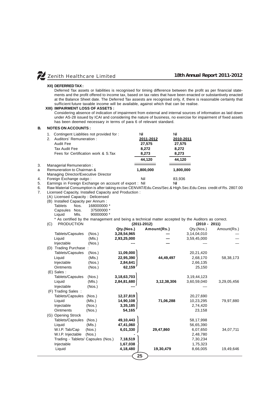#### **XII) DEFERRED TAX :**

Deferred Tax assets or liabilities is recognised for timing difference between the profit as per financial statements and the profit offered to income tax, based on tax rates that have been enacted or substantively enacted at the Balance Sheet date. The Deferred Tax assests are recognised only, if, there is reasonable certainty that sufficient future taxable income will be available, against which that can be realise.

#### **XIII) IMPAIRMENT LOSS OF ASSETS :**

Considering absence of indication of impairment from external and internal sources of information as laid down under AS-28 issued by ICAI and considering the nature of business, no exercise for impairment of fixed assets has been deemed necessary in terms of para 6 of relevant standard.

#### **B. NOTES ON ACCOUNTS :**

|    | Contingent Liablities not provided for:<br>1.           | Nil       | Nil       |
|----|---------------------------------------------------------|-----------|-----------|
|    | Auditors' Remuneration:<br>2.                           | 2011-2012 | 2010-2011 |
|    | Audit Fee                                               | 27,575    | 27,575    |
|    | Tax Audit Fee                                           | 8.272     | 8,272     |
|    | Fees for Certification work & S.Tax                     | 8,273     | 8,273     |
|    |                                                         | 44.120    | 44.120    |
| 3. | Managerial Remuneration:                                |           |           |
| a  | Remuneration to Chairman &                              | 1,800,000 | 1,800,000 |
|    | Managing Director/Executive Director                    |           |           |
| 4. | Foreign Exchange outgo:                                 | Nil       | 83,936    |
| E  | Earnings in Earnign Evebongs on account of ovnert . Nil |           | NH        |

5. Earnings in Foreign Exchange on account of export : Nil<br>6. Raw Material Consumption is after taking excise CENVAT/Edu.Cess/Sec.& Hi 6. Raw Material Consumption is after taking excise CENVAT/Edu.Cess/Sec.& High.Sec.Edu.Cess credit of Rs. 2807.00

Licensed Capacity, Installed Capacity and Production :

(A) Licensed Capacity : Delicensed

| (A) Licensed Capacity . Delicensed |      |             |  |  |  |  |
|------------------------------------|------|-------------|--|--|--|--|
| (B) Installed Capacity per Annum:  |      |             |  |  |  |  |
| Tablets                            | Nos. | 168000000 * |  |  |  |  |
| Capsules                           | Nos. | 37500000 *  |  |  |  |  |
| Liauid                             | Mls. | 90000000 *  |  |  |  |  |

\* As certified by the management and being a technical matter accepted by the Auditors as correct.

| <b>PRODUCTION</b><br>(C)           |        |                | $(2011 - 2012)$ | $(2010 - 2011)$ |             |
|------------------------------------|--------|----------------|-----------------|-----------------|-------------|
|                                    |        | Qty.(Nos.)     | Amount(Rs.)     | Qty.(Nos.)      | Amount(Rs.) |
| Tablets/Capsules                   | (Nos.) | 3,28,54,965    |                 | 3,14,04,010     |             |
| Liquid                             | (MIs.) | 2,93,25,000    |                 | 3,59,45,000     |             |
| Injectable                         | (Nos.) |                |                 |                 |             |
| (D) Trading Purchase:              |        |                |                 |                 |             |
| Tablets/Capsules                   | (Nos.) | 11,09,000      |                 | 20,21,420       |             |
| Liquid                             | (MIs.) | 22,95,390      | 44,49,497       | 2,68,170        | 58,38,173   |
| Injectable                         | (Nos.) | 2,84,641       |                 | 2,66,135        |             |
| <b>Ointments</b>                   | (Nos.) | 62,159         |                 | 25,150          |             |
| (E) Sales :                        |        |                |                 |                 |             |
| Tablets/Capsules                   | (Nos.) | 3, 18, 63, 703 |                 | 3,19,44,123     |             |
| Liquid                             | (MIs.) | 2,84,81,680    | 3,12,38,306     | 3,60,59,040     | 3,29,05,456 |
| Injectable                         | (Nos.) |                |                 |                 |             |
| (F) Trading Sales:                 |        |                |                 |                 |             |
| Tablets/Capsules                   | (Nos.) | 12,37,819      |                 | 20,27,690       |             |
| Liquid                             | (MIs.) | 14,90,108      | 71,06,288       | 10,23,295       | 79,97,880   |
| Injectable                         | (Nos.) | 3,35,185       |                 | 2,74,420        |             |
| <b>Ointments</b>                   | (Nos.) | 54,165         |                 | 23,158          |             |
| (G) Opening Strock                 |        |                |                 |                 |             |
| Tablets/Capsules                   | (Nos.) | 49,10,443      |                 | 58,17,998       |             |
| Liquid                             | (MIs.) | 47,41,060      |                 | 56,65,390       |             |
| W.I.P. Tab/Cap                     | (Nos.) | 6,01,330       | 29,47,860       | 6,07,650        | 34,07,711   |
| W.I.P. Injectable                  | (Nos.) |                |                 | 2,48,780        |             |
| Trading - Tablets/ Capsules (Nos.) |        | 7,18,519       |                 | 7,30,234        |             |
| Injectable                         |        | 1,67,038       |                 | 1,75,323        |             |
|                                    |        | 4,18,480       | 19,30,479       | 8,66,005        | 19,49,646   |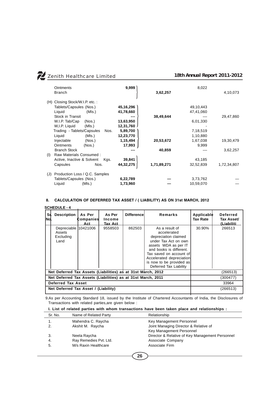| <b>Ointments</b><br><b>Branch</b>     | 9,999     | 3,62,257    | 8,022     | 4,10,073    |
|---------------------------------------|-----------|-------------|-----------|-------------|
| (H) Closing Stock/W.I.P. etc.:        |           |             |           |             |
| Tablets/Capsules (Nos.)               | 45,16,296 |             | 49,10,443 |             |
| Liquid<br>(MIs.)                      | 41,78,660 |             | 47,41,060 |             |
| Stock in Transit                      |           | 38,49,644   |           | 29,47,860   |
| W.I.P. Tab/Cap<br>(Nos.)              | 13,63,950 |             | 6,01,330  |             |
| W.I.P. Liquid<br>(MIs.)               | 12,31,760 |             |           |             |
| Trading - Tablets/Capsules<br>Nos.    | 5,89,700  |             | 7,18,519  |             |
| Liquid<br>(MIs.)                      | 12,23,770 |             | 1,10,880  |             |
| Injectable<br>(Nos.)                  | 1,15,494  | 20,53,672   | 1,67,038  | 19,30,479   |
| <b>Ointments</b><br>(Nos.)            | 17,993    |             | 9,999     |             |
| <b>Branch Stock</b>                   |           | 40,859      |           | 3,62,257    |
| Raw Materials Consumed:<br>(1)        |           |             |           |             |
| Active, Inactive & Solvent<br>Kgs.    | 39,841    |             | 43,185    |             |
| Capsules<br>Nos.                      | 44,32,275 | 1,71,89,271 | 32,52,839 | 1,72,34,807 |
| Production Loss / Q.C. Samples<br>(J) |           |             |           |             |
| Tablets/Capsules (Nos.)               | 6,22,789  |             | 3,73,762  |             |
| (MIs.)<br>Liquid                      | 1,73,960  |             | 10,59,070 |             |

# **8. CALCULATION OF DEFERRED TAX ASSET / ( LIABILITY) AS ON 31st MARCH, 2012**

# **SCHEDULE - 4**

| S١<br>INol.                                                  | <b>Description</b>                                  | As Per<br>Companies<br>Act | As Per<br>Income<br>Tax Act | <b>Differencel</b> | Remarks                                                                                                                                                                                                                                       | Applicable<br>Tax Rate | <b>Deferred</b><br>Tax Asset/<br>(Liabiliti |
|--------------------------------------------------------------|-----------------------------------------------------|----------------------------|-----------------------------|--------------------|-----------------------------------------------------------------------------------------------------------------------------------------------------------------------------------------------------------------------------------------------|------------------------|---------------------------------------------|
|                                                              | Depreciable 10421006<br>Assets<br>Excluding<br>Land |                            | 9558503                     | 862503             | As a result of<br>accelerated<br>depreciation claimed<br>under Tax Act on own<br>assets WDA as per IT<br>and books is different.<br>Tax saved on account of<br>Accelerated depreciation<br>is now to be provided as<br>Deferred Tax Liability | 30.90%                 | 266513                                      |
| Net Deferred Tax Assets (Liabilities) as at 31st March, 2012 |                                                     |                            |                             | (266513)           |                                                                                                                                                                                                                                               |                        |                                             |
| Net Deferred Tax Assets (Liabilities) as at 31st March, 2011 |                                                     |                            |                             | (300477)           |                                                                                                                                                                                                                                               |                        |                                             |
| Deferred Tax Asset                                           |                                                     |                            |                             |                    | 33964                                                                                                                                                                                                                                         |                        |                                             |
|                                                              | Net Deferred Tax Asset / (Liability)                |                            |                             |                    | (266513)                                                                                                                                                                                                                                      |                        |                                             |

 9.As per Accounting Standard 18, issued by the Institute of Chartered Accountants of India, the Disclosures of Transactions with related parties,are given below :

# **I. List of related parties with whom transactions have been taken place and relationships :**

| Sr. No. | Name of Related Party  | Relationship                                    |
|---------|------------------------|-------------------------------------------------|
| 1.      | Mahendra C. Raycha     | Key Management Personnel                        |
| 2.      | Akshit M. Raycha       | Joint Managing Director & Relative of           |
|         |                        | Key Management Personnel                        |
| 3.      | Neela Raycha           | Director & Relative of Key Management Personnel |
| 4.      | Ray Remedies Pvt. Ltd. | Associate Company                               |
| 5.      | M/s Raxin Healthcare   | Associate Firm                                  |
|         |                        |                                                 |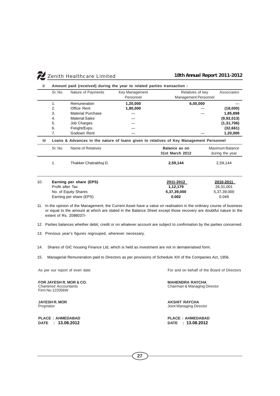| Zenith Healthcare Limited | a sa sa |  |  |
|---------------------------|---------|--|--|
|                           |         |  |  |

| ii.  | Amount paid (received) during the year to related parties transaction : |                          |                |                                                                                        |                 |
|------|-------------------------------------------------------------------------|--------------------------|----------------|----------------------------------------------------------------------------------------|-----------------|
|      | Sr. No.                                                                 | Nature of Payments       | Key Management | Relatives of key                                                                       | Associates      |
|      |                                                                         |                          | Personnel      | Management Personnel                                                                   |                 |
|      | 1.                                                                      | Remuneration             | 1,20,000       | 6,00,000                                                                               |                 |
|      | 2.                                                                      | Office Rent              | 1,80,000       |                                                                                        | (18,000)        |
|      | 3.                                                                      | <b>Material Purchase</b> |                |                                                                                        | 1,85,898        |
|      | 4.                                                                      | <b>Material Sales</b>    |                |                                                                                        | (9,92,013)      |
|      | 5.                                                                      | Job Charges              |                |                                                                                        | (1, 31, 706)    |
|      | 6.                                                                      | Freight/Exps.            |                |                                                                                        | (32,661)        |
|      | 7.                                                                      | Godown Rent              |                |                                                                                        | 1,20,000        |
| iii. |                                                                         |                          |                | Loans & Advances in the nature of loans given to relatives of Key Management Personnel |                 |
|      | Sr. No.                                                                 | Name of Relatives        |                | Balance as on                                                                          | Maximum Balance |
|      |                                                                         |                          |                | 31st March 2012                                                                        | during the year |
|      | 1.                                                                      | Thakker Chatrabhuj D.    |                | 2,59,144                                                                               | 2,59,144        |
|      |                                                                         |                          |                |                                                                                        |                 |
|      |                                                                         |                          |                |                                                                                        |                 |
| 10.  |                                                                         | Earning per share (EPS)  |                | 2011-2012                                                                              | 2010-2011       |
|      | Profit after Tax                                                        |                          |                | 1,12,179                                                                               | 26,31,001       |
|      | No. of Equity Shares                                                    |                          |                | 5,37,39,000                                                                            | 5,37,39,000     |
|      |                                                                         | Earning per share (EPS)  |                | 0.002                                                                                  | 0.049           |
|      |                                                                         |                          |                |                                                                                        |                 |

- 11. In the opinion of the Management, the Current Asset have a value on realisation in the ordinary course of business or equal to the amount at which are stated in the Balance Sheet except those recovery are doubtful nature to the extent of Rs. 2098037/-
- 12. Parties balances whether debit, credit or on whatever account are subject to confirmation by the parties concerned.
- 13. Previous year's figures regrouped, wherever necessary.
- 14. Shares of GIC housing Finance Ltd, which is held as investment are not in dematerialsed form.
- 15. Managerial Remuneration paid to Directors as per provisions of Schedule XIII of the Companies Act, 1956.

**FOR JAYESH R. MOR & CO. MAHENDRA RAYCHA**<br>Chartered Accountants **MAHENDRA RAYCHA** Firm No.122056W

**DATE : 13.08.2012 DATE : 13.08.2012**

As per our report of even date **For and on behalf of the Board of Directors** 

Chairman & Managing Director

**JAYESH R. MOR AKSHIT RAYCHA**<br>Proprietor **AKSHIT RAYCHA**<br>Joint Managing Dire Joint Managing Director

**PLACE : AHMEDABAD PLACE : AHMEDABAD**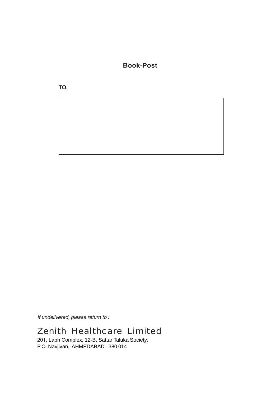**Book-Post**

**TO,**

*If undelivered, please return to :*

# Zenith Healthcare Limited

201, Labh Complex, 12-B, Sattar Taluka Society, P.O. Navjivan, AHMEDABAD - 380 014